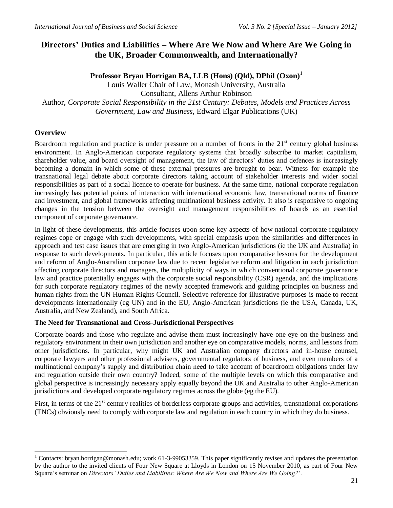# **Directors' Duties and Liabilities – Where Are We Now and Where Are We Going in the UK, Broader Commonwealth, and Internationally?**

# **Professor Bryan Horrigan BA, LLB (Hons) (Qld), DPhil (Oxon)<sup>1</sup>**

Louis Waller Chair of Law, Monash University, Australia Consultant, Allens Arthur Robinson Author, *Corporate Social Responsibility in the 21st Century: Debates, Models and Practices Across Government, Law and Business*, Edward Elgar Publications (UK)

# **Overview**

Boardroom regulation and practice is under pressure on a number of fronts in the 21<sup>st</sup> century global business environment. In Anglo-American corporate regulatory systems that broadly subscribe to market capitalism, shareholder value, and board oversight of management, the law of directors' duties and defences is increasingly becoming a domain in which some of these external pressures are brought to bear. Witness for example the transnational legal debate about corporate directors taking account of stakeholder interests and wider social responsibilities as part of a social licence to operate for business. At the same time, national corporate regulation increasingly has potential points of interaction with international economic law, transnational norms of finance and investment, and global frameworks affecting multinational business activity. It also is responsive to ongoing changes in the tension between the oversight and management responsibilities of boards as an essential component of corporate governance.

In light of these developments, this article focuses upon some key aspects of how national corporate regulatory regimes cope or engage with such developments, with special emphasis upon the similarities and differences in approach and test case issues that are emerging in two Anglo-American jurisdictions (ie the UK and Australia) in response to such developments. In particular, this article focuses upon comparative lessons for the development and reform of Anglo-Australian corporate law due to recent legislative reform and litigation in each jurisdiction affecting corporate directors and managers, the multiplicity of ways in which conventional corporate governance law and practice potentially engages with the corporate social responsibility (CSR) agenda, and the implications for such corporate regulatory regimes of the newly accepted framework and guiding principles on business and human rights from the UN Human Rights Council. Selective reference for illustrative purposes is made to recent developments internationally (eg UN) and in the EU, Anglo-American jurisdictions (ie the USA, Canada, UK, Australia, and New Zealand), and South Africa.

# **The Need for Transnational and Cross-Jurisdictional Perspectives**

Corporate boards and those who regulate and advise them must increasingly have one eye on the business and regulatory environment in their own jurisdiction and another eye on comparative models, norms, and lessons from other jurisdictions. In particular, why might UK and Australian company directors and in-house counsel, corporate lawyers and other professional advisers, governmental regulators of business, and even members of a multinational company's supply and distribution chain need to take account of boardroom obligations under law and regulation outside their own country? Indeed, some of the multiple levels on which this comparative and global perspective is increasingly necessary apply equally beyond the UK and Australia to other Anglo-American jurisdictions and developed corporate regulatory regimes across the globe (eg the EU).

First, in terms of the  $21<sup>st</sup>$  century realities of borderless corporate groups and activities, transnational corporations (TNCs) obviously need to comply with corporate law and regulation in each country in which they do business.

 $\overline{a}$ <sup>1</sup> Contacts: bryan.horrigan@monash.edu; work 61-3-99053359. This paper significantly revises and updates the presentation by the author to the invited clients of Four New Square at Lloyds in London on 15 November 2010, as part of Four New Square's seminar on *Directors' Duties and Liabilities: Where Are We Now and Where Are We Going?*'.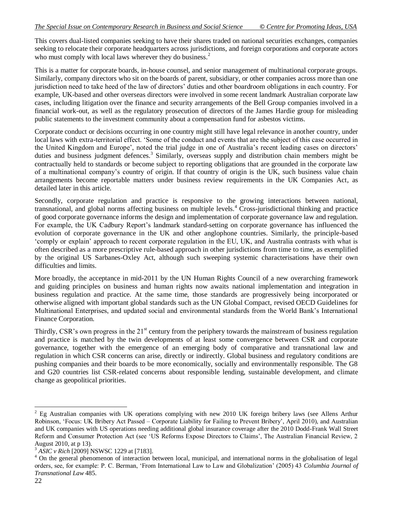This covers dual-listed companies seeking to have their shares traded on national securities exchanges, companies seeking to relocate their corporate headquarters across jurisdictions, and foreign corporations and corporate actors who must comply with local laws wherever they do business.<sup>2</sup>

This is a matter for corporate boards, in-house counsel, and senior management of multinational corporate groups. Similarly, company directors who sit on the boards of parent, subsidiary, or other companies across more than one jurisdiction need to take heed of the law of directors' duties and other boardroom obligations in each country. For example, UK-based and other overseas directors were involved in some recent landmark Australian corporate law cases, including litigation over the finance and security arrangements of the Bell Group companies involved in a financial work-out, as well as the regulatory prosecution of directors of the James Hardie group for misleading public statements to the investment community about a compensation fund for asbestos victims.

Corporate conduct or decisions occurring in one country might still have legal relevance in another country, under local laws with extra-territorial effect. 'Some of the conduct and events that are the subject of this case occurred in the United Kingdom and Europe', noted the trial judge in one of Australia's recent leading cases on directors' duties and business judgment defences.<sup>3</sup> Similarly, overseas supply and distribution chain members might be contractually held to standards or become subject to reporting obligations that are grounded in the corporate law of a multinational company's country of origin. If that country of origin is the UK, such business value chain arrangements become reportable matters under business review requirements in the UK Companies Act, as detailed later in this article.

Secondly, corporate regulation and practice is responsive to the growing interactions between national, transnational, and global norms affecting business on multiple levels.<sup>4</sup> Cross-jurisdictional thinking and practice of good corporate governance informs the design and implementation of corporate governance law and regulation. For example, the UK Cadbury Report's landmark standard-setting on corporate governance has influenced the evolution of corporate governance in the UK and other anglophone countries. Similarly, the principle-based ‗comply or explain' approach to recent corporate regulation in the EU, UK, and Australia contrasts with what is often described as a more prescriptive rule-based approach in other jurisdictions from time to time, as exemplified by the original US Sarbanes-Oxley Act, although such sweeping systemic characterisations have their own difficulties and limits.

More broadly, the acceptance in mid-2011 by the UN Human Rights Council of a new overarching framework and guiding principles on business and human rights now awaits national implementation and integration in business regulation and practice. At the same time, those standards are progressively being incorporated or otherwise aligned with important global standards such as the UN Global Compact, revised OECD Guidelines for Multinational Enterprises, and updated social and environmental standards from the World Bank's International Finance Corporation.

Thirdly, CSR's own progress in the 21<sup>st</sup> century from the periphery towards the mainstream of business regulation and practice is matched by the twin developments of at least some convergence between CSR and corporate governance, together with the emergence of an emerging body of comparative and transnational law and regulation in which CSR concerns can arise, directly or indirectly. Global business and regulatory conditions are pushing companies and their boards to be more economically, socially and environmentally responsible. The G8 and G20 countries list CSR-related concerns about responsible lending, sustainable development, and climate change as geopolitical priorities.

 $2$  Eg Australian companies with UK operations complying with new 2010 UK foreign bribery laws (see Allens Arthur Robinson, ‗Focus: UK Bribery Act Passed – Corporate Liability for Failing to Prevent Bribery', April 2010), and Australian and UK companies with US operations needing additional global insurance coverage after the 2010 Dodd-Frank Wall Street Reform and Consumer Protection Act (see 'US Reforms Expose Directors to Claims', The Australian Financial Review, 2 August 2010, at p 13).

<sup>3</sup> *ASIC v Rich* [2009] NSWSC 1229 at [7183].

<sup>&</sup>lt;sup>4</sup> On the general phenomenon of interaction between local, municipal, and international norms in the globalisation of legal orders, see, for example: P. C. Berman, ‗From International Law to Law and Globalization' (2005) 43 *Columbia Journal of Transnational Law* 485.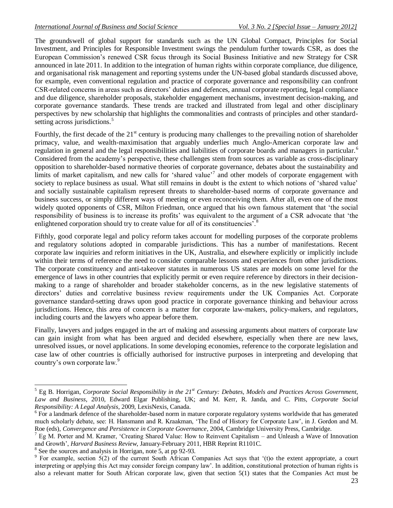The groundswell of global support for standards such as the UN Global Compact, Principles for Social Investment, and Principles for Responsible Investment swings the pendulum further towards CSR, as does the European Commission's renewed CSR focus through its Social Business Initiative and new Strategy for CSR announced in late 2011. In addition to the integration of human rights within corporate compliance, due diligence, and organisational risk management and reporting systems under the UN-based global standards discussed above, for example, even conventional regulation and practice of corporate governance and responsibility can confront CSR-related concerns in areas such as directors' duties and defences, annual corporate reporting, legal compliance and due diligence, shareholder proposals, stakeholder engagement mechanisms, investment decision-making, and corporate governance standards. These trends are tracked and illustrated from legal and other disciplinary perspectives by new scholarship that highlights the commonalities and contrasts of principles and other standardsetting across jurisdictions.<sup>5</sup>

Fourthly, the first decade of the  $21<sup>st</sup>$  century is producing many challenges to the prevailing notion of shareholder primacy, value, and wealth-maximisation that arguably underlies much Anglo-American corporate law and regulation in general and the legal responsibilities and liabilities of corporate boards and managers in particular.<sup>6</sup> Considered from the academy's perspective, these challenges stem from sources as variable as cross-disciplinary opposition to shareholder-based normative theories of corporate governance, debates about the sustainability and limits of market capitalism, and new calls for 'shared value'<sup>7</sup> and other models of corporate engagement with society to replace business as usual. What still remains in doubt is the extent to which notions of 'shared value' and socially sustainable capitalism represent threats to shareholder-based norms of corporate governance and business success, or simply different ways of meeting or even reconceiving them. After all, even one of the most widely quoted opponents of CSR, Milton Friedman, once argued that his own famous statement that 'the social responsibility of business is to increase its profits' was equivalent to the argument of a CSR advocate that 'the enlightened corporation should try to create value for *all* of its constituencies<sup>'.8</sup>

Fifthly, good corporate legal and policy reform takes account for modelling purposes of the corporate problems and regulatory solutions adopted in comparable jurisdictions. This has a number of manifestations. Recent corporate law inquiries and reform initiatives in the UK, Australia, and elsewhere explicitly or implicitly include within their terms of reference the need to consider comparable lessons and experiences from other jurisdictions. The corporate constituency and anti-takeover statutes in numerous US states are models on some level for the emergence of laws in other countries that explicitly permit or even require reference by directors in their decisionmaking to a range of shareholder and broader stakeholder concerns, as in the new legislative statements of directors' duties and correlative business review requirements under the UK Companies Act. Corporate governance standard-setting draws upon good practice in corporate governance thinking and behaviour across jurisdictions. Hence, this area of concern is a matter for corporate law-makers, policy-makers, and regulators, including courts and the lawyers who appear before them.

Finally, lawyers and judges engaged in the art of making and assessing arguments about matters of corporate law can gain insight from what has been argued and decided elsewhere, especially when there are new laws, unresolved issues, or novel applications. In some developing economies, reference to the corporate legislation and case law of other countries is officially authorised for instructive purposes in interpreting and developing that country's own corporate law.<sup>9</sup>

<sup>8</sup> See the sources and analysis in Horrigan, note 5, at pp 92-93.

<sup>5</sup> Eg B. Horrigan, *Corporate Social Responsibility in the 21st Century: Debates, Models and Practices Across Government, Law and Business*, 2010, Edward Elgar Publishing, UK; and M. Kerr, R. Janda, and C. Pitts, *Corporate Social Responsibility: A Legal Analysis*, 2009, LexisNexis, Canada.

<sup>&</sup>lt;sup>6</sup> For a landmark defence of the shareholder-based norm in mature corporate regulatory systems worldwide that has generated much scholarly debate, see: H. Hansmann and R. Kraakman, ‗The End of History for Corporate Law', in J. Gordon and M. Roe (eds), *Convergence and Persistence in Corporate Governance*, 2004, Cambridge University Press, Cambridge.

<sup>7</sup> Eg M. Porter and M. Kramer, ‗Creating Shared Value: How to Reinvent Capitalism – and Unleash a Wave of Innovation and Growth', *Harvard Business Review*, January-February 2011, HBR Reprint R1101C.

 $9$  For example, section 5(2) of the current South African Companies Act says that  $(1)$ o the extent appropriate, a court interpreting or applying this Act may consider foreign company law'. In addition, constitutional protection of human rights is also a relevant matter for South African corporate law, given that section 5(1) states that the Companies Act must be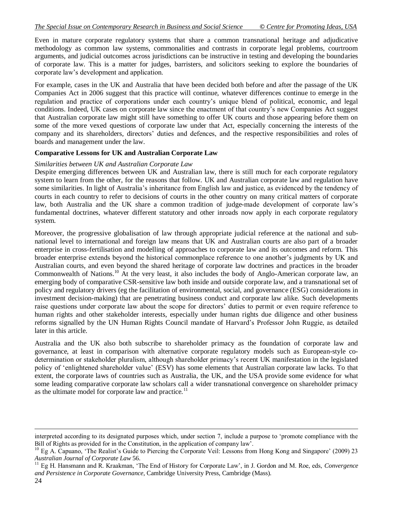Even in mature corporate regulatory systems that share a common transnational heritage and adjudicative methodology as common law systems, commonalities and contrasts in corporate legal problems, courtroom arguments, and judicial outcomes across jurisdictions can be instructive in testing and developing the boundaries of corporate law. This is a matter for judges, barristers, and solicitors seeking to explore the boundaries of corporate law's development and application.

For example, cases in the UK and Australia that have been decided both before and after the passage of the UK Companies Act in 2006 suggest that this practice will continue, whatever differences continue to emerge in the regulation and practice of corporations under each country's unique blend of political, economic, and legal conditions. Indeed, UK cases on corporate law since the enactment of that country's new Companies Act suggest that Australian corporate law might still have something to offer UK courts and those appearing before them on some of the more vexed questions of corporate law under that Act, especially concerning the interests of the company and its shareholders, directors' duties and defences, and the respective responsibilities and roles of boards and management under the law.

#### **Comparative Lessons for UK and Australian Corporate Law**

#### *Similarities between UK and Australian Corporate Law*

Despite emerging differences between UK and Australian law, there is still much for each corporate regulatory system to learn from the other, for the reasons that follow. UK and Australian corporate law and regulation have some similarities. In light of Australia's inheritance from English law and justice, as evidenced by the tendency of courts in each country to refer to decisions of courts in the other country on many critical matters of corporate law, both Australia and the UK share a common tradition of judge-made development of corporate law's fundamental doctrines, whatever different statutory and other inroads now apply in each corporate regulatory system.

Moreover, the progressive globalisation of law through appropriate judicial reference at the national and subnational level to international and foreign law means that UK and Australian courts are also part of a broader enterprise in cross-fertilisation and modelling of approaches to corporate law and its outcomes and reform. This broader enterprise extends beyond the historical commonplace reference to one another's judgments by UK and Australian courts, and even beyond the shared heritage of corporate law doctrines and practices in the broader Commonwealth of Nations.<sup>10</sup> At the very least, it also includes the body of Anglo-American corporate law, an emerging body of comparative CSR-sensitive law both inside and outside corporate law, and a transnational set of policy and regulatory drivers (eg the facilitation of environmental, social, and governance (ESG) considerations in investment decision-making) that are penetrating business conduct and corporate law alike. Such developments raise questions under corporate law about the scope for directors' duties to permit or even require reference to human rights and other stakeholder interests, especially under human rights due diligence and other business reforms signalled by the UN Human Rights Council mandate of Harvard's Professor John Ruggie, as detailed later in this article.

Australia and the UK also both subscribe to shareholder primacy as the foundation of corporate law and governance, at least in comparison with alternative corporate regulatory models such as European-style codetermination or stakeholder pluralism, although shareholder primacy's recent UK manifestation in the legislated policy of ‗enlightened shareholder value' (ESV) has some elements that Australian corporate law lacks. To that extent, the corporate laws of countries such as Australia, the UK, and the USA provide some evidence for what some leading comparative corporate law scholars call a wider transnational convergence on shareholder primacy as the ultimate model for corporate law and practice. $11$ 

interpreted according to its designated purposes which, under section 7, include a purpose to 'promote compliance with the Bill of Rights as provided for in the Constitution, in the application of company law'.

<sup>&</sup>lt;sup>10</sup> Eg A. Capuano, 'The Realist's Guide to Piercing the Corporate Veil: Lessons from Hong Kong and Singapore' (2009) 23 *Australian Journal of Corporate Law* 56.

<sup>&</sup>lt;sup>11</sup> Eg H. Hansmann and R. Kraakman, 'The End of History for Corporate Law', in J. Gordon and M. Roe, eds, *Convergence and Persistence in Corporate Governance*, Cambridge University Press, Cambridge (Mass).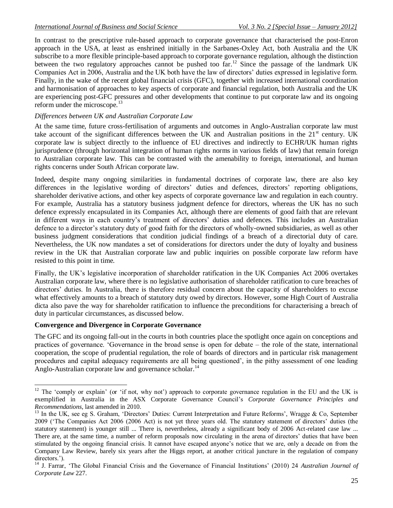In contrast to the prescriptive rule-based approach to corporate governance that characterised the post-Enron approach in the USA, at least as enshrined initially in the Sarbanes-Oxley Act, both Australia and the UK subscribe to a more flexible principle-based approach to corporate governance regulation, although the distinction between the two regulatory approaches cannot be pushed too far.<sup>12</sup> Since the passage of the landmark UK Companies Act in 2006, Australia and the UK both have the law of directors' duties expressed in legislative form. Finally, in the wake of the recent global financial crisis (GFC), together with increased international coordination and harmonisation of approaches to key aspects of corporate and financial regulation, both Australia and the UK are experiencing post-GFC pressures and other developments that continue to put corporate law and its ongoing reform under the microscope.<sup>13</sup>

# *Differences between UK and Australian Corporate Law*

At the same time, future cross-fertilisation of arguments and outcomes in Anglo-Australian corporate law must take account of the significant differences between the UK and Australian positions in the  $21<sup>st</sup>$  century. UK corporate law is subject directly to the influence of EU directives and indirectly to ECHR/UK human rights jurisprudence (through horizontal integration of human rights norms in various fields of law) that remain foreign to Australian corporate law. This can be contrasted with the amenability to foreign, international, and human rights concerns under South African corporate law.

Indeed, despite many ongoing similarities in fundamental doctrines of corporate law, there are also key differences in the legislative wording of directors' duties and defences, directors' reporting obligations, shareholder derivative actions, and other key aspects of corporate governance law and regulation in each country. For example, Australia has a statutory business judgment defence for directors, whereas the UK has no such defence expressly encapsulated in its Companies Act, although there are elements of good faith that are relevant in different ways in each country's treatment of directors' duties and defences. This includes an Australian defence to a director's statutory duty of good faith for the directors of wholly-owned subsidiaries, as well as other business judgment considerations that condition judicial findings of a breach of a directorial duty of care. Nevertheless, the UK now mandates a set of considerations for directors under the duty of loyalty and business review in the UK that Australian corporate law and public inquiries on possible corporate law reform have resisted to this point in time.

Finally, the UK's legislative incorporation of shareholder ratification in the UK Companies Act 2006 overtakes Australian corporate law, where there is no legislative authorisation of shareholder ratification to cure breaches of directors' duties. In Australia, there is therefore residual concern about the capacity of shareholders to excuse what effectively amounts to a breach of statutory duty owed by directors. However, some High Court of Australia dicta also pave the way for shareholder ratification to influence the preconditions for characterising a breach of duty in particular circumstances, as discussed below.

# **Convergence and Divergence in Corporate Governance**

The GFC and its ongoing fall-out in the courts in both countries place the spotlight once again on conceptions and practices of governance. ‗Governance in the broad sense is open for debate – the role of the state, international cooperation, the scope of prudential regulation, the role of boards of directors and in particular risk management procedures and capital adequacy requirements are all being questioned', in the pithy assessment of one leading Anglo-Australian corporate law and governance scholar.<sup>14</sup>

 $\overline{a}$  $12$  The 'comply or explain' (or 'if not, why not') approach to corporate governance regulation in the EU and the UK is exemplified in Australia in the ASX Corporate Governance Council's *Corporate Governance Principles and Recommendations*, last amended in 2010.

<sup>&</sup>lt;sup>13</sup> In the UK, see eg S. Graham, 'Directors' Duties: Current Interpretation and Future Reforms', Wragge & Co, September 2009 (‗The Companies Act 2006 (2006 Act) is not yet three years old. The statutory statement of directors' duties (the statutory statement) is younger still ... There is, nevertheless, already a significant body of 2006 Act-related case law ... There are, at the same time, a number of reform proposals now circulating in the arena of directors' duties that have been stimulated by the ongoing financial crisis. It cannot have escaped anyone's notice that we are, only a decade on from the Company Law Review, barely six years after the Higgs report, at another critical juncture in the regulation of company directors.').

<sup>&</sup>lt;sup>14</sup> J. Farrar, 'The Global Financial Crisis and the Governance of Financial Institutions' (2010) 24 Australian Journal of *Corporate Law* 227.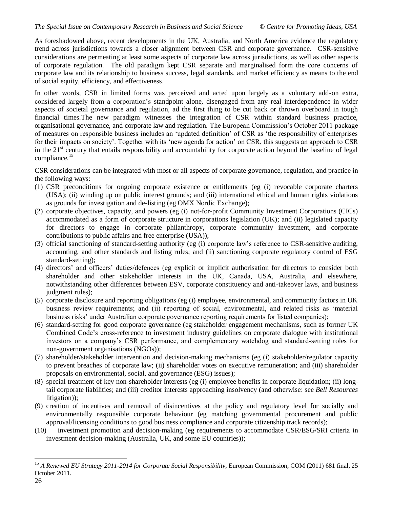As foreshadowed above, recent developments in the UK, Australia, and North America evidence the regulatory trend across jurisdictions towards a closer alignment between CSR and corporate governance. CSR-sensitive considerations are permeating at least some aspects of corporate law across jurisdictions, as well as other aspects of corporate regulation. The old paradigm kept CSR separate and marginalised form the core concerns of corporate law and its relationship to business success, legal standards, and market efficiency as means to the end of social equity, efficiency, and effectiveness.

In other words, CSR in limited forms was perceived and acted upon largely as a voluntary add-on extra, considered largely from a corporation's standpoint alone, disengaged from any real interdependence in wider aspects of societal governance and regulation, ad the first thing to be cut back or thrown overboard in tough financial times.The new paradigm witnesses the integration of CSR within standard business practice, organisational governance, and corporate law and regulation. The European Commission's October 2011 package of measures on responsible business includes an ‗updated definition' of CSR as ‗the responsibility of enterprises for their impacts on society'. Together with its 'new agenda for action' on CSR, this suggests an approach to CSR in the  $21<sup>st</sup>$  century that entails responsibility and accountability for corporate action beyond the baseline of legal compliance.<sup>15</sup>

CSR considerations can be integrated with most or all aspects of corporate governance, regulation, and practice in the following ways:

- (1) CSR preconditions for ongoing corporate existence or entitlements (eg (i) revocable corporate charters (USA); (ii) winding up on public interest grounds; and (iii) international ethical and human rights violations as grounds for investigation and de-listing (eg OMX Nordic Exchange);
- (2) corporate objectives, capacity, and powers (eg (i) not-for-profit Community Investment Corporations (CICs) accommodated as a form of corporate structure in corporations legislation (UK); and (ii) legislated capacity for directors to engage in corporate philanthropy, corporate community investment, and corporate contributions to public affairs and free enterprise (USA));
- (3) official sanctioning of standard-setting authority (eg (i) corporate law's reference to CSR-sensitive auditing, accounting, and other standards and listing rules; and (ii) sanctioning corporate regulatory control of ESG standard-setting);
- (4) directors' and officers' duties/defences (eg explicit or implicit authorisation for directors to consider both shareholder and other stakeholder interests in the UK, Canada, USA, Australia, and elsewhere, notwithstanding other differences between ESV, corporate constituency and anti-takeover laws, and business judgment rules);
- (5) corporate disclosure and reporting obligations (eg (i) employee, environmental, and community factors in UK business review requirements; and (ii) reporting of social, environmental, and related risks as 'material business risks' under Australian corporate governance reporting requirements for listed companies);
- (6) standard-setting for good corporate governance (eg stakeholder engagement mechanisms, such as former UK Combined Code's cross-reference to investment industry guidelines on corporate dialogue with institutional investors on a company's CSR performance, and complementary watchdog and standard-setting roles for non-government organisations (NGOs));
- (7) shareholder/stakeholder intervention and decision-making mechanisms (eg (i) stakeholder/regulator capacity to prevent breaches of corporate law; (ii) shareholder votes on executive remuneration; and (iii) shareholder proposals on environmental, social, and governance (ESG) issues);
- (8) special treatment of key non-shareholder interests (eg (i) employee benefits in corporate liquidation; (ii) longtail corporate liabilities; and (iii) creditor interests approaching insolvency (and otherwise: see *Bell Resources* litigation));
- (9) creation of incentives and removal of disincentives at the policy and regulatory level for socially and environmentally responsible corporate behaviour (eg matching governmental procurement and public approval/licensing conditions to good business compliance and corporate citizenship track records);
- (10) investment promotion and decision-making (eg requirements to accommodate CSR/ESG/SRI criteria in investment decision-making (Australia, UK, and some EU countries));

 $\overline{a}$ <sup>15</sup> A Renewed EU Strategy 2011-2014 for Corporate Social Responsibility, European Commission, COM (2011) 681 final, 25 October 2011.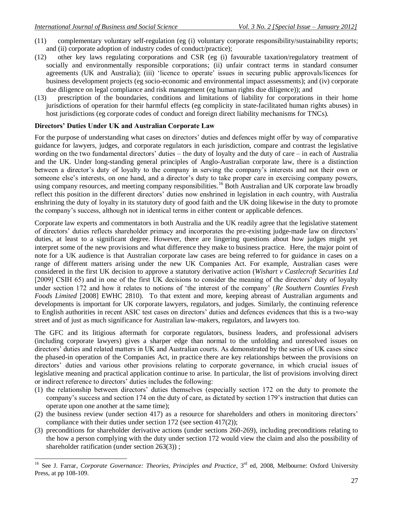- (11) complementary voluntary self-regulation (eg (i) voluntary corporate responsibility/sustainability reports; and (ii) corporate adoption of industry codes of conduct/practice);
- (12) other key laws regulating corporations and CSR (eg (i) favourable taxation/regulatory treatment of socially and environmentally responsible corporations; (ii) unfair contract terms in standard consumer agreements (UK and Australia); (iii) 'licence to operate' issues in securing public approvals/licences for business development projects (eg socio-economic and environmental impact assessments); and (iv) corporate due diligence on legal compliance and risk management (eg human rights due diligence)); and
- (13) prescription of the boundaries, conditions and limitations of liability for corporations in their home jurisdictions of operation for their harmful effects (eg complicity in state-facilitated human rights abuses) in host jurisdictions (eg corporate codes of conduct and foreign direct liability mechanisms for TNCs).

#### **Directors' Duties Under UK and Australian Corporate Law**

 $\overline{a}$ 

For the purpose of understanding what cases on directors' duties and defences might offer by way of comparative guidance for lawyers, judges, and corporate regulators in each jurisdiction, compare and contrast the legislative wording on the two fundamental directors' duties – the duty of loyalty and the duty of care – in each of Australia and the UK. Under long-standing general principles of Anglo-Australian corporate law, there is a distinction between a director's duty of loyalty to the company in serving the company's interests and not their own or someone else's interests, on one hand, and a director's duty to take proper care in exercising company powers, using company resources, and meeting company responsibilities.<sup>16</sup> Both Australian and UK corporate law broadly reflect this position in the different directors' duties now enshrined in legislation in each country, with Australia enshrining the duty of loyalty in its statutory duty of good faith and the UK doing likewise in the duty to promote the company's success, although not in identical terms in either content or applicable defences.

Corporate law experts and commentators in both Australia and the UK readily agree that the legislative statement of directors' duties reflects shareholder primacy and incorporates the pre-existing judge-made law on directors' duties, at least to a significant degree. However, there are lingering questions about how judges might yet interpret some of the new provisions and what difference they make to business practice. Here, the major point of note for a UK audience is that Australian corporate law cases are being referred to for guidance in cases on a range of different matters arising under the new UK Companies Act. For example, Australian cases were considered in the first UK decision to approve a statutory derivative action (*Wishart v Castlecroft Securities Ltd* [2009] CSIH 65) and in one of the first UK decisions to consider the meaning of the directors' duty of loyalty under section 172 and how it relates to notions of ‗the interest of the company' (*Re Southern Counties Fresh Foods Limited* [2008] EWHC 2810). To that extent and more, keeping abreast of Australian arguments and developments is important for UK corporate lawyers, regulators, and judges. Similarly, the continuing reference to English authorities in recent ASIC test cases on directors' duties and defences evidences that this is a two-way street and of just as much significance for Australian law-makers, regulators, and lawyers too.

The GFC and its litigious aftermath for corporate regulators, business leaders, and professional advisers (including corporate lawyers) gives a sharper edge than normal to the unfolding and unresolved issues on directors' duties and related matters in UK and Australian courts. As demonstrated by the series of UK cases since the phased-in operation of the Companies Act, in practice there are key relationships between the provisions on directors' duties and various other provisions relating to corporate governance, in which crucial issues of legislative meaning and practical application continue to arise. In particular, the list of provisions involving direct or indirect reference to directors' duties includes the following:

- (1) the relationship between directors' duties themselves (especially section 172 on the duty to promote the company's success and section 174 on the duty of care, as dictated by section 179's instruction that duties can operate upon one another at the same time);
- (2) the business review (under section 417) as a resource for shareholders and others in monitoring directors' compliance with their duties under section 172 (see section 417(2));
- (3) preconditions for shareholder derivative actions (under sections 260-269), including preconditions relating to the how a person complying with the duty under section 172 would view the claim and also the possibility of shareholder ratification (under section 263(3));

<sup>16</sup> See J. Farrar, *Corporate Governance: Theories, Principles and Practice*, 3rd ed, 2008, Melbourne: Oxford University Press, at pp 108-109.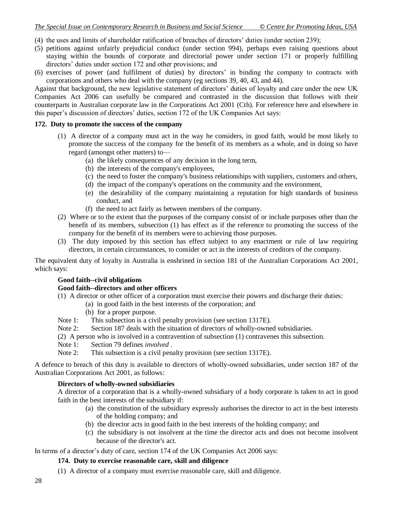- (4) the uses and limits of shareholder ratification of breaches of directors' duties (under section 239);
- (5) petitions against unfairly prejudicial conduct (under section 994), perhaps even raising questions about staying within the bounds of corporate and directorial power under section 171 or properly fulfilling directors' duties under section 172 and other provisions; and
- (6) exercises of power (and fulfilment of duties) by directors' in binding the company to contracts with corporations and others who deal with the company (eg sections 39, 40, 43, and 44).

Against that background, the new legislative statement of directors' duties of loyalty and care under the new UK Companies Act 2006 can usefully be compared and contrasted in the discussion that follows with their counterparts in Australian corporate law in the Corporations Act 2001 (Cth). For reference here and elsewhere in this paper's discussion of directors' duties, section 172 of the UK Companies Act says:

#### **172. Duty to promote the success of the company**

- (1) A director of a company must act in the way he considers, in good faith, would be most likely to promote the success of the company for the benefit of its members as a whole, and in doing so have regard (amongst other matters) to—
	- (a) the likely consequences of any decision in the long term,
	- (b) the interests of the company's employees,
	- (c) the need to foster the company's business relationships with suppliers, customers and others,
	- (d) the impact of the company's operations on the community and the environment,
	- (e) the desirability of the company maintaining a reputation for high standards of business conduct, and
	- (f) the need to act fairly as between members of the company.
- (2) Where or to the extent that the purposes of the company consist of or include purposes other than the benefit of its members, subsection (1) has effect as if the reference to promoting the success of the company for the benefit of its members were to achieving those purposes.
- (3) The duty imposed by this section has effect subject to any enactment or rule of law requiring directors, in certain circumstances, to consider or act in the interests of creditors of the company.

The equivalent duty of loyalty in Australia is enshrined in section 181 of the Australian Corporations Act 2001, which says:

#### **Good faith--civil obligations**

#### **Good faith--directors and other [officers](http://www.austlii.edu.au/au/legis/cth/consol_act/ca2001172/s416.html#officer)**

- (1) A [director](http://www.austlii.edu.au/au/legis/cth/consol_act/ca2001172/s9.html#director) or other [officer](http://www.austlii.edu.au/au/legis/cth/consol_act/ca2001172/s416.html#officer) of a [corporation](http://www.austlii.edu.au/au/legis/cth/consol_act/ca2001172/s9.html#corporation) must exercise their powers and discharge their duties:
	- (a) in good faith in the best [interests](http://www.austlii.edu.au/au/legis/cth/consol_act/ca2001172/s601waa.html#interest) of the [corporation;](http://www.austlii.edu.au/au/legis/cth/consol_act/ca2001172/s9.html#corporation) and
		- (b) for a proper purpose.
- Note 1: This subsection is a [civil penalty provision](http://www.austlii.edu.au/au/legis/cth/consol_act/ca2001172/s9.html#civil_penalty_provision) (see section [1317E\).](http://www.austlii.edu.au/au/legis/cth/consol_act/ca2001172/s1317e.html)
- Note 2: [Section](http://www.austlii.edu.au/au/legis/cth/consol_act/ca2001172/s187.html) 187 [deals](http://www.austlii.edu.au/au/legis/cth/consol_act/ca2001172/s9.html#deal) with the situation of [directors](http://www.austlii.edu.au/au/legis/cth/consol_act/ca2001172/s9.html#director) of wholly-owned subsidiaries.
- (2) A [person](http://www.austlii.edu.au/au/legis/cth/consol_act/ca2001172/s761a.html#person) who is [involved in](http://www.austlii.edu.au/au/legis/cth/consol_act/ca2001172/s761a.html#involved_in) a contravention of subsection (1) contravenes this subsection.
- Note 1: [Section](http://www.austlii.edu.au/au/legis/cth/consol_act/ca2001172/s79.html) 79 defines *[involved](http://www.austlii.edu.au/au/legis/cth/consol_act/ca2001172/s9.html#involved)* .
- Note 2: This subsection is a [civil penalty provision](http://www.austlii.edu.au/au/legis/cth/consol_act/ca2001172/s9.html#civil_penalty_provision) (see section [1317E\).](http://www.austlii.edu.au/au/legis/cth/consol_act/ca2001172/s1317e.html)

A defence to breach of this duty is available to directors of wholly-owned subsidiaries, under section 187 of the Australian Corporations Act 2001, as follows:

#### **Directors of wholly-owned subsidiaries**

A [director](http://www.austlii.edu.au/au/legis/cth/consol_act/ca2001172/s9.html#director) of a [corporation](http://www.austlii.edu.au/au/legis/cth/consol_act/ca2001172/s9.html#corporation) that is a wholly-owned subsidiary of a [body corporate](http://www.austlii.edu.au/au/legis/cth/consol_act/ca2001172/s1276.html#body_corporate) is taken to act in good faith in the best [interests](http://www.austlii.edu.au/au/legis/cth/consol_act/ca2001172/s601waa.html#interest) of the subsidiary if:

- (a) the [constitution](http://www.austlii.edu.au/au/legis/cth/consol_act/ca2001172/s9.html#constitution) of the subsidiary expressly authorises the [director](http://www.austlii.edu.au/au/legis/cth/consol_act/ca2001172/s9.html#director) to act in the best [interests](http://www.austlii.edu.au/au/legis/cth/consol_act/ca2001172/s601waa.html#interest) of the [holding company;](http://www.austlii.edu.au/au/legis/cth/consol_act/ca2001172/s9.html#holding_company) and
- (b) th[e director](http://www.austlii.edu.au/au/legis/cth/consol_act/ca2001172/s9.html#director) acts in good faith in the best [interests](http://www.austlii.edu.au/au/legis/cth/consol_act/ca2001172/s601waa.html#interest) of the [holding company;](http://www.austlii.edu.au/au/legis/cth/consol_act/ca2001172/s9.html#holding_company) and
- (c) the subsidiary is not [insolvent](http://www.austlii.edu.au/au/legis/cth/consol_act/ca2001172/s9.html#insolvent) at the time the [director](http://www.austlii.edu.au/au/legis/cth/consol_act/ca2001172/s9.html#director) acts and does not become [insolvent](http://www.austlii.edu.au/au/legis/cth/consol_act/ca2001172/s9.html#insolvent) because of the [director'](http://www.austlii.edu.au/au/legis/cth/consol_act/ca2001172/s9.html#director)s act.

In terms of a director's duty of care, section 174 of the UK Companies Act 2006 says:

# **174. Duty to exercise reasonable care, skill and diligence**

(1) A director of a company must exercise reasonable care, skill and diligence.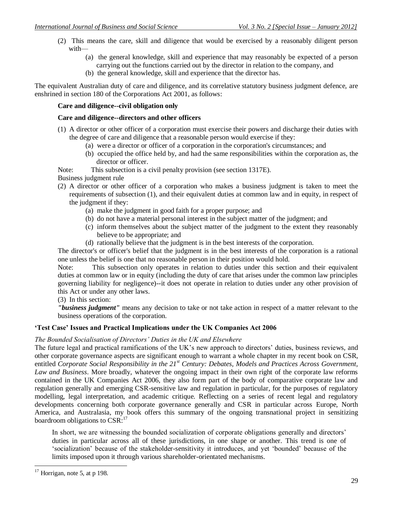- (2) This means the care, skill and diligence that would be exercised by a reasonably diligent person with—
	- (a) the general knowledge, skill and experience that may reasonably be expected of a person carrying out the functions carried out by the director in relation to the company, and
	- (b) the general knowledge, skill and experience that the director has.

The equivalent Australian duty of care and diligence, and its correlative statutory business judgment defence, are enshrined in section 180 of the Corporations Act 2001, as follows:

### **Care and diligence--civil obligation only**

#### **Care and diligence--directors and other [officers](http://www.austlii.edu.au/au/legis/cth/consol_act/ca2001172/s416.html#officer)**

- (1) A [director](http://www.austlii.edu.au/au/legis/cth/consol_act/ca2001172/s9.html#director) or other [officer](http://www.austlii.edu.au/au/legis/cth/consol_act/ca2001172/s416.html#officer) of a [corporation](http://www.austlii.edu.au/au/legis/cth/consol_act/ca2001172/s9.html#corporation) must exercise their powers and discharge their duties with the degree of care and diligence that a reasonable [person](http://www.austlii.edu.au/au/legis/cth/consol_act/ca2001172/s761a.html#person) would exercise if they:
	- (a) were a [director](http://www.austlii.edu.au/au/legis/cth/consol_act/ca2001172/s9.html#director) or [officer](http://www.austlii.edu.au/au/legis/cth/consol_act/ca2001172/s416.html#officer) of a [corporation](http://www.austlii.edu.au/au/legis/cth/consol_act/ca2001172/s9.html#corporation) in the [corporation'](http://www.austlii.edu.au/au/legis/cth/consol_act/ca2001172/s9.html#corporation)s circumstances; and
	- (b) occupied the office held by, and had the same responsibilities within the [corporation](http://www.austlii.edu.au/au/legis/cth/consol_act/ca2001172/s9.html#corporation) as, the [director](http://www.austlii.edu.au/au/legis/cth/consol_act/ca2001172/s9.html#director) or [officer.](http://www.austlii.edu.au/au/legis/cth/consol_act/ca2001172/s416.html#officer)

Note: This subsection is a [civil penalty provision](http://www.austlii.edu.au/au/legis/cth/consol_act/ca2001172/s9.html#civil_penalty_provision) (see section [1317E\).](http://www.austlii.edu.au/au/legis/cth/consol_act/ca2001172/s1317e.html)

[Business judgment](http://www.austlii.edu.au/au/legis/cth/consol_act/ca2001172/s180.html#business_judgment) rule

- (2) A [director](http://www.austlii.edu.au/au/legis/cth/consol_act/ca2001172/s9.html#director) or other [officer](http://www.austlii.edu.au/au/legis/cth/consol_act/ca2001172/s416.html#officer) of a [corporation](http://www.austlii.edu.au/au/legis/cth/consol_act/ca2001172/s9.html#corporation) who makes a [business judgment](http://www.austlii.edu.au/au/legis/cth/consol_act/ca2001172/s180.html#business_judgment) is taken to meet the requirements of subsection (1), and their equivalent duties at common law and in equity, in respect of the [judgment](http://www.austlii.edu.au/au/legis/cth/consol_act/ca2001172/s9.html#judgment) if they:
	- (a) make the [judgment](http://www.austlii.edu.au/au/legis/cth/consol_act/ca2001172/s9.html#judgment) in good faith for a proper purpose; and
	- (b) do not [have](http://www.austlii.edu.au/au/legis/cth/consol_act/ca2001172/s9.html#have) a material [personal](http://www.austlii.edu.au/au/legis/cth/consol_act/ca2001172/s761a.html#person) [interest](http://www.austlii.edu.au/au/legis/cth/consol_act/ca2001172/s601waa.html#interest) in the subject matter of the [judgment;](http://www.austlii.edu.au/au/legis/cth/consol_act/ca2001172/s9.html#judgment) and
	- (c) inform themselves about the subject matter of the [judgment](http://www.austlii.edu.au/au/legis/cth/consol_act/ca2001172/s9.html#judgment) to the extent they reasonably believe to be appropriate; and
	- (d) rationally believe that the [judgment](http://www.austlii.edu.au/au/legis/cth/consol_act/ca2001172/s9.html#judgment) is in the best [interests](http://www.austlii.edu.au/au/legis/cth/consol_act/ca2001172/s601waa.html#interest) of the [corporation.](http://www.austlii.edu.au/au/legis/cth/consol_act/ca2001172/s9.html#corporation)

The [director's](http://www.austlii.edu.au/au/legis/cth/consol_act/ca2001172/s9.html#director) or [officer'](http://www.austlii.edu.au/au/legis/cth/consol_act/ca2001172/s416.html#officer)s belief that the [judgment](http://www.austlii.edu.au/au/legis/cth/consol_act/ca2001172/s9.html#judgment) is in the best [interests](http://www.austlii.edu.au/au/legis/cth/consol_act/ca2001172/s601waa.html#interest) of the [corporation](http://www.austlii.edu.au/au/legis/cth/consol_act/ca2001172/s9.html#corporation) is a rational one unless the belief is one that no reasonable [person](http://www.austlii.edu.au/au/legis/cth/consol_act/ca2001172/s761a.html#person) in their position would [hold.](http://www.austlii.edu.au/au/legis/cth/consol_act/ca2001172/s9.html#hold)

Note: This subsection only operates in relation to duties under this section and their equivalent duties at common law or in equity (including the duty of care that arises under the common law principles governing [liability](http://www.austlii.edu.au/au/legis/cth/consol_act/ca2001172/s1371.html#liability) for negligence)--it does not operate in relation to duties under any other provision of this Act or under any other laws.

(3) In this section:

*"business judgment"* means any [decision](http://www.austlii.edu.au/au/legis/cth/consol_act/ca2001172/s1317a.html#decision) to take or not take action in respect of a matter relevant to the business operations of the [corporation.](http://www.austlii.edu.au/au/legis/cth/consol_act/ca2001172/s9.html#corporation)

# **'Test Case' Issues and Practical Implications under the UK Companies Act 2006**

# *The Bounded Socialisation of Directors' Duties in the UK and Elsewhere*

The future legal and practical ramifications of the UK's new approach to directors' duties, business reviews, and other corporate governance aspects are significant enough to warrant a whole chapter in my recent book on CSR, entitled *Corporate Social Responsibility in the 21<sup>st</sup> Century: Debates, Models and Practices Across Government, Law and Business*. More broadly, whatever the ongoing impact in their own right of the corporate law reforms contained in the UK Companies Act 2006, they also form part of the body of comparative corporate law and regulation generally and emerging CSR-sensitive law and regulation in particular, for the purposes of regulatory modelling, legal interpretation, and academic critique. Reflecting on a series of recent legal and regulatory developments concerning both corporate governance generally and CSR in particular across Europe, North America, and Australasia, my book offers this summary of the ongoing transnational project in sensitizing boardroom obligations to  $CSR$ :<sup>17</sup>

In short, we are witnessing the bounded socialization of corporate obligations generally and directors' duties in particular across all of these jurisdictions, in one shape or another. This trend is one of ‗socialization' because of the stakeholder-sensitivity it introduces, and yet ‗bounded' because of the limits imposed upon it through various shareholder-orientated mechanisms.

 $17$  Horrigan, note 5, at p 198.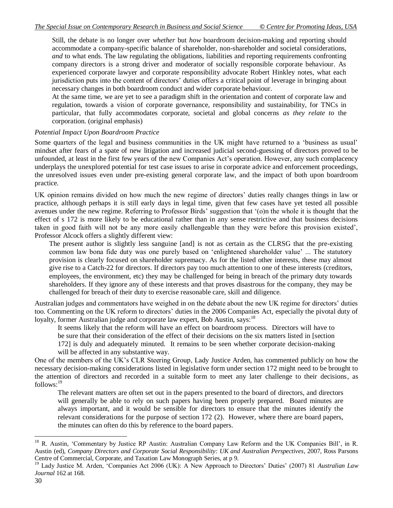Still, the debate is no longer over *whether* but *how* boardroom decision-making and reporting should accommodate a company-specific balance of shareholder, non-shareholder and societal considerations, *and* to what ends. The law regulating the obligations, liabilities and reporting requirements confronting company directors is a strong driver and moderator of socially responsible corporate behaviour. As experienced corporate lawyer and corporate responsibility advocate Robert Hinkley notes, what each jurisdiction puts into the content of directors' duties offers a critical point of leverage in bringing about necessary changes in both boardroom conduct and wider corporate behaviour.

At the same time, we are yet to see a paradigm shift in the orientation and content of corporate law and regulation, towards a vision of corporate governance, responsibility and sustainability, for TNCs in particular, that fully accommodates corporate, societal and global concerns *as they relate to* the corporation. (original emphasis)

#### *Potential Impact Upon Boardroom Practice*

Some quarters of the legal and business communities in the UK might have returned to a 'business as usual' mindset after fears of a spate of new litigation and increased judicial second-guessing of directors proved to be unfounded, at least in the first few years of the new Companies Act's operation. However, any such complacency underplays the unexplored potential for test case issues to arise in corporate advice and enforcement proceedings, the unresolved issues even under pre-existing general corporate law, and the impact of both upon boardroom practice.

UK opinion remains divided on how much the new regime of directors' duties really changes things in law or practice, although perhaps it is still early days in legal time, given that few cases have yet tested all possible avenues under the new regime. Referring to Professor Birds' suggestion that ‗(o)n the whole it is thought that the effect of s 172 is more likely to be educational rather than in any sense restrictive and that business decisions taken in good faith will not be any more easily challengeable than they were before this provision existed', Professor Alcock offers a slightly different view:

The present author is slightly less sanguine [and] is not as certain as the CLRSG that the pre-existing common law bona fide duty was one purely based on 'enlightened shareholder value' ... The statutory provision is clearly focused on shareholder supremacy. As for the listed other interests, these may almost give rise to a Catch-22 for directors. If directors pay too much attention to one of these interests (creditors, employees, the environment, etc) they may be challenged for being in breach of the primary duty towards shareholders. If they ignore any of these interests and that proves disastrous for the company, they may be challenged for breach of their duty to exercise reasonable care, skill and diligence.

Australian judges and commentators have weighed in on the debate about the new UK regime for directors' duties too. Commenting on the UK reform to directors' duties in the 2006 Companies Act, especially the pivotal duty of loyalty, former Australian judge and corporate law expert, Bob Austin, says:  $18$ 

It seems likely that the reform will have an effect on boardroom process. Directors will have to be sure that their consideration of the effect of their decisions on the six matters listed in [section 172] is duly and adequately minuted. It remains to be seen whether corporate decision-making

will be affected in any substantive way.

One of the members of the UK's CLR Steering Group, Lady Justice Arden, has commented publicly on how the necessary decision-making considerations listed in legislative form under section 172 might need to be brought to the attention of directors and recorded in a suitable form to meet any later challenge to their decisions, as  $follows: <sup>19</sup>$ 

The relevant matters are often set out in the papers presented to the board of directors, and directors will generally be able to rely on such papers having been properly prepared. Board minutes are always important, and it would be sensible for directors to ensure that the minutes identify the relevant considerations for the purpose of section 172 (2). However, where there are board papers, the minutes can often do this by reference to the board papers.

<sup>&</sup>lt;sup>18</sup> R. Austin, 'Commentary by Justice RP Austin: Australian Company Law Reform and the UK Companies Bill', in R. Austin (ed), *Company Directors and Corporate Social Responsibility: UK and Australian Perspectives*, 2007, Ross Parsons Centre of Commercial, Corporate, and Taxation Law Monograph Series, at p 9.

<sup>19</sup> Lady Justice M. Arden, ‗Companies Act 2006 (UK): A New Approach to Directors' Duties' (2007) 81 *Australian Law Journal* 162 at 168.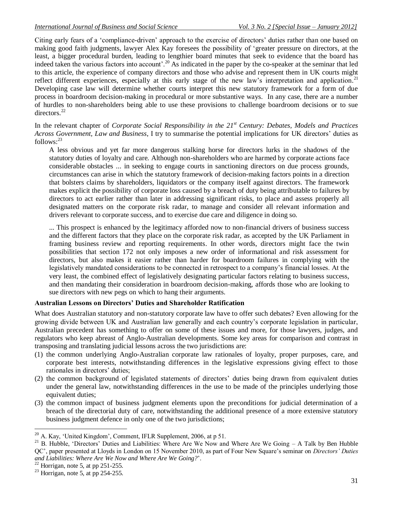Citing early fears of a ‗compliance-driven' approach to the exercise of directors' duties rather than one based on making good faith judgments, lawyer Alex Kay foresees the possibility of ‗greater pressure on directors, at the least, a bigger procedural burden, leading to lengthier board minutes that seek to evidence that the board has indeed taken the various factors into account'.<sup>20</sup> As indicated in the paper by the co-speaker at the seminar that led to this article, the experience of company directors and those who advise and represent them in UK courts might reflect different experiences, especially at this early stage of the new law's interpretation and application.<sup>21</sup> Developing case law will determine whether courts interpret this new statutory framework for a form of due process in boardroom decision-making in procedural or more substantive ways. In any case, there are a number of hurdles to non-shareholders being able to use these provisions to challenge boardroom decisions or to sue directors.<sup>22</sup>

In the relevant chapter of *Corporate Social Responsibility in the 21st Century: Debates, Models and Practices Across Government, Law and Business*, I try to summarise the potential implications for UK directors' duties as follows:<sup>23</sup>

A less obvious and yet far more dangerous stalking horse for directors lurks in the shadows of the statutory duties of loyalty and care. Although non-shareholders who are harmed by corporate actions face considerable obstacles ... in seeking to engage courts in sanctioning directors on due process grounds, circumstances can arise in which the statutory framework of decision-making factors points in a direction that bolsters claims by shareholders, liquidators or the company itself against directors. The framework makes explicit the possibility of corporate loss caused by a breach of duty being attributable to failures by directors to act earlier rather than later in addressing significant risks, to place and assess properly all designated matters on the corporate risk radar, to manage and consider all relevant information and drivers relevant to corporate success, and to exercise due care and diligence in doing so.

... This prospect is enhanced by the legitimacy afforded now to non-financial drivers of business success and the different factors that they place on the corporate risk radar, as accepted by the UK Parliament in framing business review and reporting requirements. In other words, directors might face the twin possibilities that section 172 not only imposes a new order of informational and risk assessment for directors, but also makes it easier rather than harder for boardroom failures in complying with the legislatively mandated considerations to be connected in retrospect to a company's financial losses. At the very least, the combined effect of legislatively designating particular factors relating to business success, and then mandating their consideration in boardroom decision-making, affords those who are looking to sue directors with new pegs on which to hang their arguments.

#### **Australian Lessons on Directors' Duties and Shareholder Ratification**

What does Australian statutory and non-statutory corporate law have to offer such debates? Even allowing for the growing divide between UK and Australian law generally and each country's corporate legislation in particular, Australian precedent has something to offer on some of these issues and more, for those lawyers, judges, and regulators who keep abreast of Anglo-Australian developments. Some key areas for comparison and contrast in transposing and translating judicial lessons across the two jurisdictions are:

- (1) the common underlying Anglo-Australian corporate law rationales of loyalty, proper purposes, care, and corporate best interests, notwithstanding differences in the legislative expressions giving effect to those rationales in directors' duties;
- (2) the common background of legislated statements of directors' duties being drawn from equivalent duties under the general law, notwithstanding differences in the use to be made of the principles underlying those equivalent duties;
- (3) the common impact of business judgment elements upon the preconditions for judicial determination of a breach of the directorial duty of care, notwithstanding the additional presence of a more extensive statutory business judgment defence in only one of the two jurisdictions;

 $\overline{a}$  $^{20}$  A. Kay, 'United Kingdom', Comment, IFLR Supplement, 2006, at p 51.

<sup>&</sup>lt;sup>21</sup> B. Hubble, 'Directors' Duties and Liabilities: Where Are We Now and Where Are We Going – A Talk by Ben Hubble QC', paper presented at Lloyds in London on 15 November 2010, as part of Four New Square's seminar on *Directors' Duties and Liabilities: Where Are We Now and Where Are We Going?*'.

 $22$  Horrigan, note 5, at pp 251-255.

 $23$  Horrigan, note 5, at pp 254-255.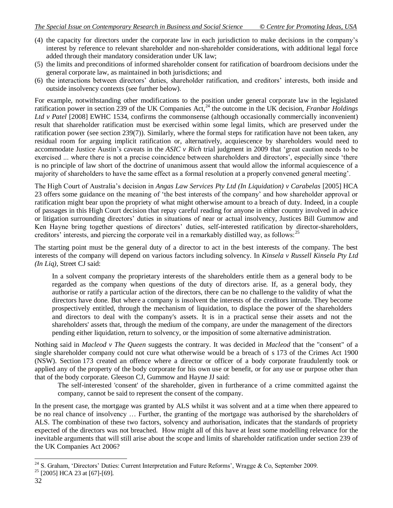- (4) the capacity for directors under the corporate law in each jurisdiction to make decisions in the company's interest by reference to relevant shareholder and non-shareholder considerations, with additional legal force added through their mandatory consideration under UK law;
- (5) the limits and preconditions of informed shareholder consent for ratification of boardroom decisions under the general corporate law, as maintained in both jurisdictions; and
- (6) the interactions between directors' duties, shareholder ratification, and creditors' interests, both inside and outside insolvency contexts (see further below).

For example, notwithstanding other modifications to the position under general corporate law in the legislated ratification power in section 239 of the UK Companies Act,<sup>24</sup> the outcome in the UK decision, *Franbar Holdings Ltd v Patel* [2008] EWHC 1534, confirms the commonsense (although occasionally commercially inconvenient) result that shareholder ratification must be exercised within some legal limits, which are preserved under the ratification power (see section 239(7)). Similarly, where the formal steps for ratification have not been taken, any residual room for arguing implicit ratification or, alternatively, acquiescence by shareholders would need to accommodate Justice Austin's caveats in the *ASIC v Rich* trial judgment in 2009 that ‗great caution needs to be exercised ... where there is not a precise coincidence between shareholders and directors', especially since 'there is no principle of law short of the doctrine of unanimous assent that would allow the informal acquiescence of a majority of shareholders to have the same effect as a formal resolution at a properly convened general meeting'.

The High Court of Australia's decision in *Angas Law Services Pty Ltd (In Liquidation) v Carabelas* [2005] HCA 23 offers some guidance on the meaning of 'the best interests of the company' and how shareholder approval or ratification might bear upon the propriety of what might otherwise amount to a breach of duty. Indeed, in a couple of passages in this High Court decision that repay careful reading for anyone in either country involved in advice or litigation surrounding directors' duties in situations of near or actual insolvency, Justices Bill Gummow and Ken Hayne bring together questions of directors' duties, self-interested ratification by director-shareholders, creditors' interests, and piercing the corporate veil in a remarkably distilled way, as follows:<sup>25</sup>

The starting point must be the general duty of a director to act in the best interests of the company. The best interests of the company will depend on various factors including solvency. In *Kinsela v Russell Kinsela Pty Ltd (In Liq)*, Street CJ said:

In a solvent company the proprietary interests of the shareholders entitle them as a general body to be regarded as the company when questions of the duty of directors arise. If, as a general body, they authorise or ratify a particular action of the directors, there can be no challenge to the validity of what the directors have done. But where a company is insolvent the interests of the creditors intrude. They become prospectively entitled, through the mechanism of liquidation, to displace the power of the shareholders and directors to deal with the company's assets. It is in a practical sense their assets and not the shareholders' assets that, through the medium of the company, are under the management of the directors pending either liquidation, return to solvency, or the imposition of some alternative administration.

Nothing said in *Macleod v The Queen* suggests the contrary. It was decided in *Macleod* that the "consent" of a single shareholder company could not cure what otherwise would be a breach of s [173](http://www.austlii.edu.au/au/legis/nsw/consol_act/ca190082/s173.html) of the [Crimes Act 1900](http://www.austlii.edu.au/au/legis/nsw/consol_act/ca190082/) (NSW). [Section](http://www.austlii.edu.au/au/legis/nsw/consol_act/ca190082/s173.html) 173 created an offence where a director or officer of a body corporate fraudulently took or applied any of the property of the body corporate for his own use or benefit, or for any use or purpose other than that of the body corporate. Gleeson CJ, Gummow and Hayne JJ said:

The self-interested 'consent' of the shareholder, given in furtherance of a crime committed against the company, cannot be said to represent the consent of the company.

In the present case, the mortgage was granted by ALS whilst it was solvent and at a time when there appeared to be no real chance of insolvency … Further, the granting of the mortgage was authorised by the shareholders of ALS. The combination of these two factors, solvency and authorisation, indicates that the standards of propriety expected of the directors was not breached. How might all of this have at least some modelling relevance for the inevitable arguments that will still arise about the scope and limits of shareholder ratification under section 239 of the UK Companies Act 2006?

 $\overline{a}$ <sup>24</sup> S. Graham, 'Directors' Duties: Current Interpretation and Future Reforms', Wragge & Co, September 2009.

 $25$  [2005] HCA 23 at [67]-[69].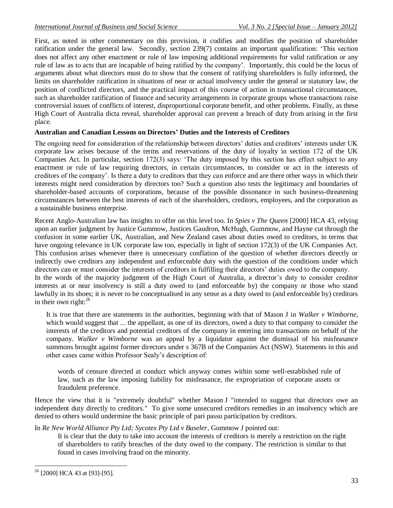First, as noted in other commentary on this provision, it codifies and modifies the position of shareholder ratification under the general law. Secondly, section 239(7) contains an important qualification: ‗This section does not affect any other enactment or rule of law imposing additional requirements for valid ratification or any rule of law as to acts that are incapable of being ratified by the company'. Importantly, this could be the locus of arguments about what directors must do to show that the consent of ratifying shareholders is fully informed, the limits on shareholder ratification in situations of near or actual insolvency under the general or statutory law, the position of conflicted directors, and the practical impact of this course of action in transactional circumstances, such as shareholder ratification of finance and security arrangements in corporate groups whose transactions raise controversial issues of conflicts of interest, disproportional corporate benefit, and other problems. Finally, as these High Court of Australia dicta reveal, shareholder approval can prevent a breach of duty from arising in the first place.

# **Australian and Canadian Lessons on Directors' Duties and the Interests of Creditors**

The ongoing need for consideration of the relationship between directors' duties and creditors' interests under UK corporate law arises because of the terms and reservations of the duty of loyalty in section 172 of the UK Companies Act. In particular, section 172(3) says: 'The duty imposed by this section has effect subject to any enactment or rule of law requiring directors, in certain circumstances, to consider or act in the interests of creditors of the company'. Is there a duty to creditors that they can enforce and are there other ways in which their interests might need consideration by directors too? Such a question also tests the legitimacy and boundaries of shareholder-based accounts of corporations, because of the possible dissonance in such business-threatening circumstances between the best interests of each of the shareholders, creditors, employees, and the corporation as a sustainable business enterprise.

Recent Anglo-Australian law has insights to offer on this level too. In *Spies v The Queen* [2000] HCA 43, relying upon an earlier judgment by Justice Gummow, Justices Gaudron, McHugh, Gummow, and Hayne cut through the confusion in some earlier UK, Australian, and New Zealand cases about duties owed to creditors, in terms that have ongoing relevance in UK corporate law too, especially in light of section 172(3) of the UK Companies Act. This confusion arises whenever there is unnecessary conflation of the question of whether directors directly or indirectly owe creditors any independent and enforceable duty with the question of the conditions under which directors can or must consider the interests of creditors in fulfilling their directors' duties owed to the company. In the words of the majority judgment of the High Court of Australia, a director's duty to consider creditor interests at or near insolvency is still a duty owed to (and enforceable by) the company or those who stand lawfully in its shoes; it is never to be conceptualised in any sense as a duty owed to (and enforceable by) creditors

in their own right: $^{26}$ 

It is true that there are statements in the authorities, beginning with that of Mason J in *Walker v Wimborne*, which would suggest that ... the appellant, as one of its directors, owed a duty to that company to consider the interests of the creditors and potential creditors of the company in entering into transactions on behalf of the company. *Walker v Wimborne* was an appeal by a liquidator against the dismissal of his misfeasance summons brought against former directors under s 367B of the Companies Act (NSW). Statements in this and other cases came within Professor Sealy's description of:

words of censure directed at conduct which anyway comes within some well-established rule of law, such as the law imposing liability for misfeasance, the expropriation of corporate assets or fraudulent preference.

Hence the view that it is "extremely doubtful" whether Mason J "intended to suggest that directors owe an independent duty directly to creditors." To give some unsecured creditors remedies in an insolvency which are denied to others would undermine the basic principle of pari passu participation by creditors.

# In *Re New World Alliance Pty Ltd; Sycotex Pty Ltd v Baseler*, Gummow J pointed out:

It is clear that the duty to take into account the interests of creditors is merely a restriction on the right of shareholders to ratify breaches of the duty owed to the company. The restriction is similar to that found in cases involving fraud on the minority.

 $26$  [2000] HCA 43 at [93]-[95].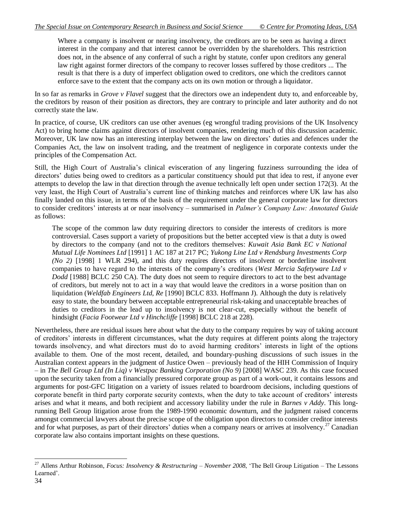Where a company is insolvent or nearing insolvency, the creditors are to be seen as having a direct interest in the company and that interest cannot be overridden by the shareholders. This restriction does not, in the absence of any conferral of such a right by statute, confer upon creditors any general law right against former directors of the company to recover losses suffered by those creditors ... The result is that there is a duty of imperfect obligation owed to creditors, one which the creditors cannot enforce save to the extent that the company acts on its own motion or through a liquidator.

In so far as remarks in *Grove v Flavel* suggest that the directors owe an independent duty to, and enforceable by, the creditors by reason of their position as directors, they are contrary to principle and later authority and do not correctly state the law.

In practice, of course, UK creditors can use other avenues (eg wrongful trading provisions of the UK Insolvency Act) to bring home claims against directors of insolvent companies, rendering much of this discussion academic. Moreover, UK law now has an interesting interplay between the law on directors' duties and defences under the Companies Act, the law on insolvent trading, and the treatment of negligence in corporate contexts under the principles of the Compensation Act.

Still, the High Court of Australia's clinical evisceration of any lingering fuzziness surrounding the idea of directors' duties being owed to creditors as a particular constituency should put that idea to rest, if anyone ever attempts to develop the law in that direction through the avenue technically left open under section 172(3). At the very least, the High Court of Australia's current line of thinking matches and reinforces where UK law has also finally landed on this issue, in terms of the basis of the requirement under the general corporate law for directors to consider creditors' interests at or near insolvency – summarised in *Palmer's Company Law: Annotated Guide* as follows:

The scope of the common law duty requiring directors to consider the interests of creditors is more controversial. Cases support a variety of propositions but the better accepted view is that a duty is owed by directors to the company (and not to the creditors themselves: *Kuwait Asia Bank EC v National Mutual Life Nominees Ltd* [1991] 1 AC 187 at 217 PC; *Yukong Line Ltd v Rendsburg Investments Corp (No 2)* [1998] 1 WLR 294), and this duty requires directors of insolvent or borderline insolvent companies to have regard to the interests of the company's creditors (*West Mercia Safetyware Ltd v Dodd* [1988] BCLC 250 CA). The duty does not seem to require directors to act to the best advantage of creditors, but merely not to act in a way that would leave the creditors in a worse position than on liquidation (*Weldfab Engineers Ltd, Re* [1990] BCLC 833. Hoffmann J). Although the duty is relatively easy to state, the boundary between acceptable entrepreneurial risk-taking and unacceptable breaches of duties to creditors in the lead up to insolvency is not clear-cut, especially without the benefit of hindsight (*Facia Footwear Ltd v Hinchcliffe* [1998] BCLC 218 at 228).

Nevertheless, there are residual issues here about what the duty to the company requires by way of taking account of creditors' interests in different circumstances, what the duty requires at different points along the trajectory towards insolvency, and what directors must do to avoid harming creditors' interests in light of the options available to them. One of the most recent, detailed, and boundary-pushing discussions of such issues in the Australian context appears in the judgment of Justice Owen – previously head of the HIH Commission of Inquiry – in *The Bell Group Ltd (In Liq) v Westpac Banking Corporation (No 9)* [2008] WASC 239. As this case focused upon the security taken from a financially pressured corporate group as part of a work-out, it contains lessons and arguments for post-GFC litigation on a variety of issues related to boardroom decisions, including questions of corporate benefit in third party corporate security contexts, when the duty to take account of creditors' interests arises and what it means, and both recipient and accessory liability under the rule in *Barnes v Addy*. This longrunning Bell Group litigation arose from the 1989-1990 economic downturn, and the judgment raised concerns amongst commercial lawyers about the precise scope of the obligation upon directors to consider creditor interests and for what purposes, as part of their directors' duties when a company nears or arrives at insolvency.<sup>27</sup> Canadian corporate law also contains important insights on these questions.

 $\overline{a}$ <sup>27</sup> Allens Arthur Robinson, *Focus: Insolvency & Restructuring – November 2008*, 'The Bell Group Litigation – The Lessons Learned'.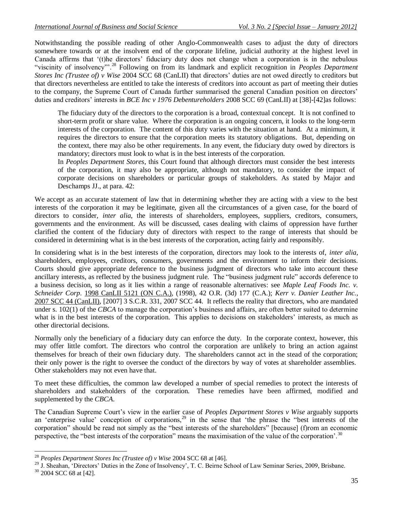Notwithstanding the possible reading of other Anglo-Commonwealth cases to adjust the duty of directors somewhere towards or at the insolvent end of the corporate lifeline, judicial authority at the highest level in Canada affirms that ‗(t)he directors' fiduciary duty does not change when a corporation is in the nebulous "viscinity of insolvency"<sup>28</sup> Following on from its landmark and explicit recognition in *Peoples Department Stores Inc (Trustee of) v Wise* 2004 SCC 68 (CanLII) that directors' duties are not owed directly to creditors but that directors nevertheless are entitled to take the interests of creditors into account as part of meeting their duties to the company, the Supreme Court of Canada further summarised the general Canadian position on directors' duties and creditors' interests in *BCE Inc v 1976 Debentureholders* 2008 SCC 69 (CanLII) at [38]-[42]as follows:

The fiduciary duty of the directors to the corporation is a broad, contextual concept. It is not confined to short-term profit or share value. Where the corporation is an ongoing concern, it looks to the long-term interests of the corporation. The content of this duty varies with the situation at hand. At a minimum, it requires the directors to ensure that the corporation meets its statutory obligations. But, depending on the context, there may also be other requirements. In any event, the fiduciary duty owed by directors is mandatory; directors must look to what is in the best interests of the corporation.

In *Peoples Department Stores*, this Court found that although directors must consider the best interests of the corporation, it may also be appropriate, although not mandatory, to consider the impact of corporate decisions on shareholders or particular groups of stakeholders. As stated by Major and Deschamps JJ., at para. 42:

We accept as an accurate statement of law that in determining whether they are acting with a view to the best interests of the corporation it may be legitimate, given all the circumstances of a given case, for the board of directors to consider, *inter alia*, the interests of shareholders, employees, suppliers, creditors, consumers, governments and the environment. As will be discussed, cases dealing with claims of oppression have further clarified the content of the fiduciary duty of directors with respect to the range of interests that should be considered in determining what is in the best interests of the corporation, acting fairly and responsibly.

In considering what is in the best interests of the corporation, directors may look to the interests of, *inter alia*, shareholders, employees, creditors, consumers, governments and the environment to inform their decisions. Courts should give appropriate deference to the business judgment of directors who take into account these ancillary interests, as reflected by the business judgment rule. The "business judgment rule" accords deference to a business decision, so long as it lies within a range of reasonable alternatives: see *Maple Leaf Foods Inc. v. Schneider Corp*. [1998 CanLII 5121 \(ON C.A.\),](http://www.canlii.org/en/on/onca/doc/1998/1998canlii5121/1998canlii5121.html) (1998), 42 O.R. (3d) 177 (C.A.); *Kerr v. Danier Leather Inc.*, [2007 SCC 44 \(CanLII\),](http://www.canlii.org/en/ca/scc/doc/2007/2007scc44/2007scc44.html) [2007] 3 S.C.R. 331, 2007 SCC 44. It reflects the reality that directors, who are mandated under s. 102(1) of the *CBCA* to manage the corporation's business and affairs, are often better suited to determine what is in the best interests of the corporation. This applies to decisions on stakeholders' interests, as much as other directorial decisions.

Normally only the beneficiary of a fiduciary duty can enforce the duty. In the corporate context, however, this may offer little comfort. The directors who control the corporation are unlikely to bring an action against themselves for breach of their own fiduciary duty. The shareholders cannot act in the stead of the corporation; their only power is the right to oversee the conduct of the directors by way of votes at shareholder assemblies. Other stakeholders may not even have that.

To meet these difficulties, the common law developed a number of special remedies to protect the interests of shareholders and stakeholders of the corporation. These remedies have been affirmed, modified and supplemented by the *CBCA*.

The Canadian Supreme Court's view in the earlier case of *Peoples Department Stores v Wise* arguably supports an 'enterprise value' conception of corporations,<sup>29</sup> in the sense that 'the phrase the "best interests of the corporation" should be read not simply as the "best interests of the shareholders" [because] (f)rom an economic perspective, the "best interests of the corporation" means the maximisation of the value of the corporation'.<sup>30</sup>

 $\overline{a}$ <sup>28</sup> *Peoples Department Stores Inc (Trustee of) v Wise* 2004 SCC 68 at [46].

<sup>&</sup>lt;sup>29</sup> J. Sheahan, 'Directors' Duties in the Zone of Insolvency', T. C. Beirne School of Law Seminar Series, 2009, Brisbane.  $30$  2004 SCC 68 at [42].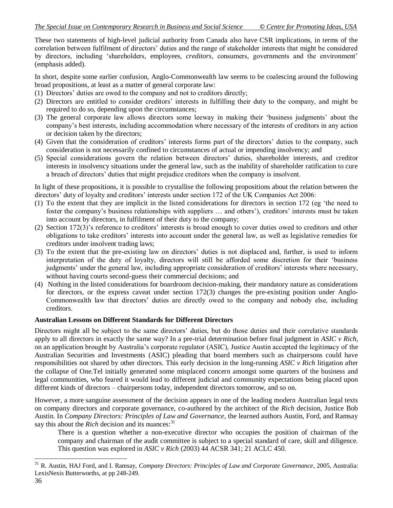These two statements of high-level judicial authority from Canada also have CSR implications, in terms of the correlation between fulfilment of directors' duties and the range of stakeholder interests that might be considered by directors, including 'shareholders, employees, *creditors*, consumers, governments and the environment' (emphasis added).

In short, despite some earlier confusion, Anglo-Commonwealth law seems to be coalescing around the following broad propositions, at least as a matter of general corporate law:

- (1) Directors' duties are owed to the company and not to creditors directly;
- (2) Directors are entitled to consider creditors' interests in fulfilling their duty to the company, and might be required to do so, depending upon the circumstances;
- (3) The general corporate law allows directors some leeway in making their ‗business judgments' about the company's best interests, including accommodation where necessary of the interests of creditors in any action or decision taken by the directors;
- (4) Given that the consideration of creditors' interests forms part of the directors' duties to the company, such consideration is not necessarily confined to circumstances of actual or impending insolvency; and
- (5) Special considerations govern the relation between directors' duties, shareholder interests, and creditor interests in insolvency situations under the general law, such as the inability of shareholder ratification to cure a breach of directors' duties that might prejudice creditors when the company is insolvent.

In light of these propositions, it is possible to crystallise the following propositions about the relation between the directors' duty of loyalty and creditors' interests under section 172 of the UK Companies Act 2006:

- (1) To the extent that they are implicit in the listed considerations for directors in section  $172$  (eg  $\degree$ the need to foster the company's business relationships with suppliers … and others'), creditors' interests must be taken into account by directors, in fulfilment of their duty to the company;
- (2) Section 172(3)'s reference to creditors' interests is broad enough to cover duties owed to creditors and other obligations to take creditors' interests into account under the general law, as well as legislative remedies for creditors under insolvent trading laws;
- (3) To the extent that the pre-existing law on directors' duties is not displaced and, further, is used to inform interpretation of the duty of loyalty, directors will still be afforded some discretion for their 'business judgments' under the general law, including appropriate consideration of creditors' interests where necessary, without having courts second-guess their commercial decisions; and
- (4) Nothing in the listed considerations for boardroom decision-making, their mandatory nature as considerations for directors, or the express caveat under section 172(3) changes the pre-existing position under Anglo-Commonwealth law that directors' duties are directly owed to the company and nobody else, including creditors.

# **Australian Lessons on Different Standards for Different Directors**

Directors might all be subject to the same directors' duties, but do those duties and their correlative standards apply to all directors in exactly the same way? In a pre-trial determination before final judgment in *ASIC v Rich*, on an application brought by Australia's corporate regulator (ASIC), Justice Austin accepted the legitimacy of the Australian Securities and Investments (ASIC) pleading that board members such as chairpersons could have responsibilities not shared by other directors. This early decision in the long-running *ASIC v Rich* litigation after the collapse of One.Tel initially generated some misplaced concern amongst some quarters of the business and legal communities, who feared it would lead to different judicial and community expectations being placed upon different kinds of directors – chairpersons today, independent directors tomorrow, and so on.

However, a more sanguine assessment of the decision appears in one of the leading modern Australian legal texts on company directors and corporate governance, co-authored by the architect of the *Rich* decision, Justice Bob Austin. In *Company Directors: Principles of Law and Governance*, the learned authors Austin, Ford, and Ramsay say this about the *Rich* decision and its nuances:  $31$ 

There is a question whether a non-executive director who occupies the position of chairman of the company and chairman of the audit committee is subject to a special standard of care, skill and diligence. This question was explored in *ASIC v Rich* (2003) 44 ACSR 341; 21 ACLC 450.

<sup>31</sup> R. Austin, HAJ Ford, and I. Ramsay, *Company Directors: Principles of Law and Corporate Governance*, 2005, Australia: LexisNexis Butterworths, at pp 248-249.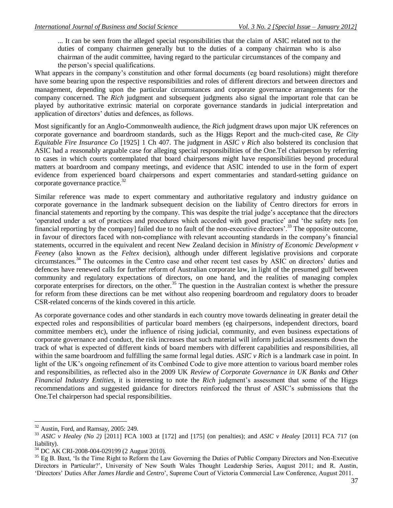... It can be seen from the alleged special responsibilities that the claim of ASIC related not to the duties of company chairmen generally but to the duties of a company chairman who is also chairman of the audit committee, having regard to the particular circumstances of the company and the person's special qualifications.

What appears in the company's constitution and other formal documents (eg board resolutions) might therefore have some bearing upon the respective responsibilities and roles of different directors and between directors and management, depending upon the particular circumstances and corporate governance arrangements for the company concerned. The *Rich* judgment and subsequent judgments also signal the important role that can be played by authoritative extrinsic material on corporate governance standards in judicial interpretation and application of directors' duties and defences, as follows.

Most significantly for an Anglo-Commonwealth audience, the *Rich* judgment draws upon major UK references on corporate governance and boardroom standards, such as the Higgs Report and the much-cited case, *Re City Equitable Fire Insurance Co* [1925] 1 Ch 407. The judgment in *ASIC v Rich* also bolstered its conclusion that ASIC had a reasonably arguable case for alleging special responsibilities of the One.Tel chairperson by referring to cases in which courts contemplated that board chairpersons might have responsibilities beyond procedural matters at boardroom and company meetings, and evidence that ASIC intended to use in the form of expert evidence from experienced board chairpersons and expert commentaries and standard-setting guidance on corporate governance practice. $32$ 

Similar reference was made to expert commentary and authoritative regulatory and industry guidance on corporate governance in the landmark subsequent decision on the liability of Centro directors for errors in financial statements and reporting by the company. This was despite the trial judge's acceptance that the directors 'operated under a set of practices and procedures which accorded with good practice' and 'the safety nets [on financial reporting by the company] failed due to no fault of the non-executive directors'.<sup>33</sup> The opposite outcome, in favour of directors faced with non-compliance with relevant accounting standards in the company's financial statements, occurred in the equivalent and recent New Zealand decision in *Ministry of Economic Development v Feeney* (also known as the *Feltex* decision), although under different legislative provisions and corporate circumstances.<sup>34</sup> The outcomes in the Centro case and other recent test cases by ASIC on directors' duties and defences have renewed calls for further reform of Australian corporate law, in light of the presumed gulf between community and regulatory expectations of directors, on one hand, and the realities of managing complex corporate enterprises for directors, on the other.<sup>35</sup> The question in the Australian context is whether the pressure for reform from these directions can be met without also reopening boardroom and regulatory doors to broader CSR-related concerns of the kinds covered in this article.

As corporate governance codes and other standards in each country move towards delineating in greater detail the expected roles and responsibilities of particular board members (eg chairpersons, independent directors, board committee members etc), under the influence of rising judicial, community, and even business expectations of corporate governance and conduct, the risk increases that such material will inform judicial assessments down the track of what is expected of different kinds of board members with different capabilities and responsibilities, all within the same boardroom and fulfilling the same formal legal duties. *ASIC v Rich* is a landmark case in point. In light of the UK's ongoing refinement of its Combined Code to give more attention to various board member roles and responsibilities, as reflected also in the 2009 UK *Review of Corporate Governance in UK Banks and Other Financial Industry Entities*, it is interesting to note the *Rich* judgment's assessment that some of the Higgs recommendations and suggested guidance for directors reinforced the thrust of ASIC's submissions that the One.Tel chairperson had special responsibilities.

<sup>32</sup> Austin, Ford, and Ramsay, 2005: 249.

<sup>33</sup> *ASIC v Healey (No 2)* [2011] FCA 1003 at [172] and [175] (on penalties); and *ASIC v Healey* [2011] FCA 717 (on liability).

<sup>34</sup> DC AK CRI-2008-004-029199 (2 August 2010).

<sup>&</sup>lt;sup>35</sup> Eg B. Baxt, 'Is the Time Right to Reform the Law Governing the Duties of Public Company Directors and Non-Executive Directors in Particular?', University of New South Wales Thought Leadership Series, August 2011; and R. Austin, ‗Directors' Duties After *James Hardie* and *Centro*', Supreme Court of Victoria Commercial Law Conference, August 2011.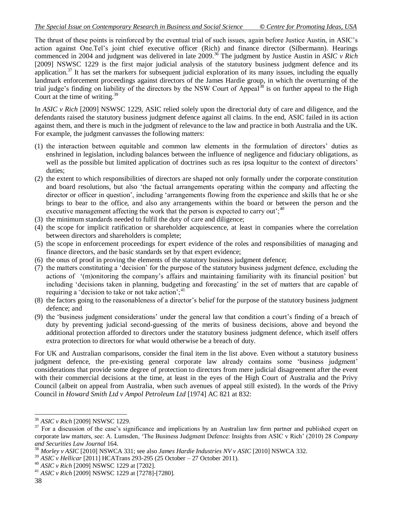The thrust of these points is reinforced by the eventual trial of such issues, again before Justice Austin, in ASIC's action against One.Tel's joint chief executive officer (Rich) and finance director (Silbermann). Hearings commenced in 2004 and judgment was delivered in late 2009.<sup>36</sup> The judgment by Justice Austin in *ASIC v Rich* [2009] NSWSC 1229 is the first major judicial analysis of the statutory business judgment defence and its application.<sup>37</sup> It has set the markers for subsequent judicial exploration of its many issues, including the equally landmark enforcement proceedings against directors of the James Hardie group, in which the overturning of the trial judge's finding on liability of the directors by the NSW Court of Appeal<sup>38</sup> is on further appeal to the High Court at the time of writing. $39$ 

In *ASIC v Rich* [2009] NSWSC 1229, ASIC relied solely upon the directorial duty of care and diligence, and the defendants raised the statutory business judgment defence against all claims. In the end, ASIC failed in its action against them, and there is much in the judgment of relevance to the law and practice in both Australia and the UK. For example, the judgment canvasses the following matters:

- (1) the interaction between equitable and common law elements in the formulation of directors' duties as enshrined in legislation, including balances between the influence of negligence and fiduciary obligations, as well as the possible but limited application of doctrines such as res ipsa loquitur to the context of directors' duties;
- (2) the extent to which responsibilities of directors are shaped not only formally under the corporate constitution and board resolutions, but also 'the factual arrangements operating within the company and affecting the director or officer in question', including 'arrangements flowing from the experience and skills that he or she brings to bear to the office, and also any arrangements within the board or between the person and the executive management affecting the work that the person is expected to carry out'; $40^{\circ}$
- (3) the minimum standards needed to fulfil the duty of care and diligence;
- (4) the scope for implicit ratification or shareholder acquiescence, at least in companies where the correlation between directors and shareholders is complete;
- (5) the scope in enforcement proceedings for expert evidence of the roles and responsibilities of managing and finance directors, and the basic standards set by that expert evidence;
- (6) the onus of proof in proving the elements of the statutory business judgment defence;
- (7) the matters constituting a ‗decision' for the purpose of the statutory business judgment defence, excluding the actions of ‗(m)onitoring the company's affairs and maintaining familiarity with its financial position' but including ‗decisions taken in planning, budgeting and forecasting' in the set of matters that are capable of requiring a 'decision to take or not take action';  $41$
- (8) the factors going to the reasonableness of a director's belief for the purpose of the statutory business judgment defence; and
- (9) the ‗business judgment considerations' under the general law that condition a court's finding of a breach of duty by preventing judicial second-guessing of the merits of business decisions, above and beyond the additional protection afforded to directors under the statutory business judgment defence, which itself offers extra protection to directors for what would otherwise be a breach of duty.

For UK and Australian comparisons, consider the final item in the list above. Even without a statutory business judgment defence, the pre-existing general corporate law already contains some 'business judgment' considerations that provide some degree of protection to directors from mere judicial disagreement after the event with their commercial decisions at the time, at least in the eyes of the High Court of Australia and the Privy Council (albeit on appeal from Australia, when such avenues of appeal still existed). In the words of the Privy Council in *Howard Smith Ltd v Ampol Petroleum Ltd* [1974] AC 821 at 832:

<sup>36</sup> *ASIC v Rich* [2009] NSWSC 1229.

<sup>&</sup>lt;sup>37</sup> For a discussion of the case's significance and implications by an Australian law firm partner and published expert on corporate law matters, see: A. Lumsden, ‗The Business Judgment Defence: Insights from ASIC v Rich' (2010) 28 *Company and Securities Law Journal* 164.

<sup>38</sup> *Morley v ASIC* [2010] NSWCA 331; see also *James Hardie Industries NV v ASIC* [2010] NSWCA 332.

<sup>39</sup> *ASIC v Hellicar* [2011] HCATrans 293-295 (25 October – 27 October 2011).

<sup>40</sup> *ASIC v Rich* [2009] NSWSC 1229 at [7202].

<sup>41</sup> *ASIC v Rich* [2009] NSWSC 1229 at [7278]-[7280].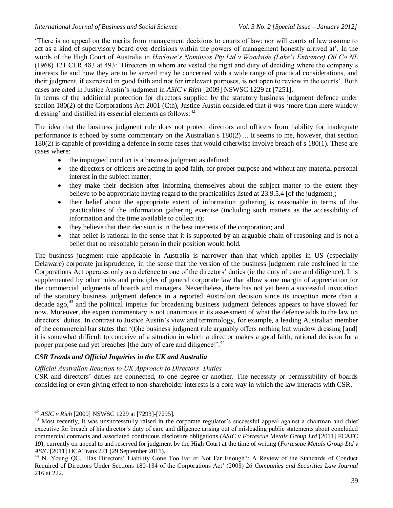‗There is no appeal on the merits from management decisions to courts of law: nor will courts of law assume to act as a kind of supervisory board over decisions within the powers of management honestly arrived at'. In the words of the High Court of Australia in *Harlowe's Nominees Pty Ltd v Woodside (Lake's Entrance) Oil Co NL* (1968) 121 CLR 483 at 493: ‗Directors in whom are vested the right and duty of deciding where the company's interests lie and how they are to be served may be concerned with a wide range of practical considerations, and their judgment, if exercised in good faith and not for irrelevant purposes, is not open to review in the courts'. Both cases are cited in Justice Austin's judgment in *ASIC v Rich* [2009] NSWSC 1229 at [7251].

In terms of the additional protection for directors supplied by the statutory business judgment defence under section 180(2) of the Corporations Act 2001 (Cth), Justice Austin considered that it was 'more than mere window dressing' and distilled its essential elements as follows:<sup>42</sup>

The idea that the business judgment rule does not protect directors and officers from liability for inadequate performance is echoed by some commentary on the Australian s 180(2) ... It seems to me, however, that section 180(2) is capable of providing a defence in some cases that would otherwise involve breach of s 180(1). These are cases where:

- the impugned conduct is a business judgment as defined;
- the directors or officers are acting in good faith, for proper purpose and without any material personal interest in the subject matter;
- they make their decision after informing themselves about the subject matter to the extent they believe to be appropriate having regard to the practicalities listed at 23.9.5.4 [of the judgment];
- their belief about the appropriate extent of information gathering is reasonable in terms of the practicalities of the information gathering exercise (including such matters as the accessibility of information and the time available to collect it);
- they believe that their decision is in the best interests of the corporation; and
- that belief is rational in the sense that it is supported by an arguable chain of reasoning and is not a belief that no reasonable person in their position would hold.

The business judgment rule applicable in Australia is narrower than that which applies in US (especially Delaware) corporate jurisprudence, in the sense that the version of the business judgment rule enshrined in the Corporations Act operates only as a defence to one of the directors' duties (ie the duty of care and diligence). It is supplemented by other rules and principles of general corporate law that allow some margin of appreciation for the commercial judgments of boards and managers. Nevertheless, there has not yet been a successful invocation of the statutory business judgment defence in a reported Australian decision since its inception more than a decade ago,<sup>43</sup> and the political impetus for broadening business judgment defences appears to have slowed for now. Moreover, the expert commentary is not unanimous in its assessment of what the defence adds to the law on directors' duties. In contrast to Justice Austin's view and terminology, for example, a leading Australian member of the commercial bar states that ‗(t)he business judgment rule arguably offers nothing but window dressing [and] it is somewhat difficult to conceive of a situation in which a director makes a good faith, rational decision for a proper purpose and yet breaches [the duty of care and diligence]<sup>'.44</sup>

# *CSR Trends and Official Inquiries in the UK and Australia*

# *Official Australian Reaction to UK Approach to Directors' Duties*

CSR and directors' duties are connected, to one degree or another. The necessity or permissibility of boards considering or even giving effect to non-shareholder interests is a core way in which the law interacts with CSR.

 $\overline{a}$ <sup>42</sup> *ASIC v Rich* [2009] NSWSC 1229 at [7293]-[7295].

<sup>&</sup>lt;sup>43</sup> Most recently, it was unsuccessfully raised in the corporate regulator's successful appeal against a chairman and chief executive for breach of his director's duty of care and diligence arising out of misleading public statements about concluded commercial contracts and associated continuous disclosure obligations (*ASIC v Fortescue Metals Group Ltd* [2011] FCAFC 19), currently on appeal to and reserved for judgment by the High Court at the time of writing (*Fortescue Metals Group Ltd v ASIC* [2011] HCATrans 271 (29 September 2011).

<sup>&</sup>lt;sup>44</sup> N. Young QC, 'Has Directors' Liability Gone Too Far or Not Far Enough?: A Review of the Standards of Conduct Required of Directors Under Sections 180-184 of the Corporations Act' (2008) 26 *Companies and Securities Law Journal* 216 at 222.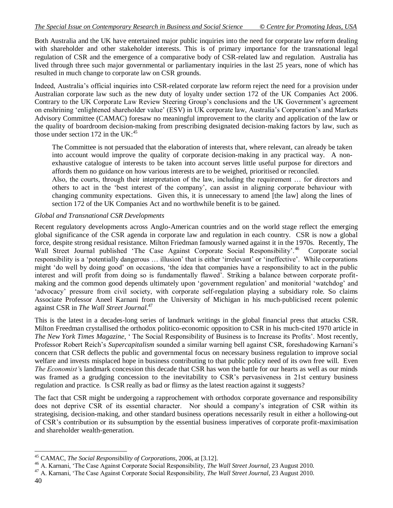Both Australia and the UK have entertained major public inquiries into the need for corporate law reform dealing with shareholder and other stakeholder interests. This is of primary importance for the transnational legal regulation of CSR and the emergence of a comparative body of CSR-related law and regulation. Australia has lived through three such major governmental or parliamentary inquiries in the last 25 years, none of which has resulted in much change to corporate law on CSR grounds.

Indeed, Australia's official inquiries into CSR-related corporate law reform reject the need for a provision under Australian corporate law such as the new duty of loyalty under section 172 of the UK Companies Act 2006. Contrary to the UK Corporate Law Review Steering Group's conclusions and the UK Government's agreement on enshrining ‗enlightened shareholder value' (ESV) in UK corporate law, Australia's Corporation's and Markets Advisory Committee (CAMAC) foresaw no meaningful improvement to the clarity and application of the law or the quality of boardroom decision-making from prescribing designated decision-making factors by law, such as those under section 172 in the UK: $45$ 

The Committee is not persuaded that the elaboration of interests that, where relevant, can already be taken into account would improve the quality of corporate decision-making in any practical way. A nonexhaustive catalogue of interests to be taken into account serves little useful purpose for directors and affords them no guidance on how various interests are to be weighed, prioritised or reconciled.

Also, the courts, through their interpretation of the law, including the requirement … for directors and others to act in the 'best interest of the company', can assist in aligning corporate behaviour with changing community expectations. Given this, it is unnecessary to amend [the law] along the lines of section 172 of the UK Companies Act and no worthwhile benefit is to be gained.

#### *Global and Transnational CSR Developments*

Recent regulatory developments across Anglo-American countries and on the world stage reflect the emerging global significance of the CSR agenda in corporate law and regulation in each country. CSR is now a global force, despite strong residual resistance. Milton Friedman famously warned against it in the 1970s. Recently, The Wall Street Journal published 'The Case Against Corporate Social Responsibility'.<sup>46</sup> Corporate social responsibility is a 'potentially dangerous ... illusion' that is either 'irrelevant' or 'ineffective'. While corporations might 'do well by doing good' on occasions, 'the idea that companies have a responsibility to act in the public interest and will profit from doing so is fundamentally flawed'. Striking a balance between corporate profitmaking and the common good depends ultimately upon ‗government regulation' and monitorial ‗watchdog' and ‗advocacy' pressure from civil society, with corporate self-regulation playing a subsidiary role. So claims Associate Professor Aneel Karnani from the University of Michigan in his much-publicised recent polemic against CSR in *The Wall Street Journal*. 47

This is the latest in a decades-long series of landmark writings in the global financial press that attacks CSR. Milton Freedman crystallised the orthodox politico-economic opposition to CSR in his much-cited 1970 article in *The New York Times Magazine*, ‗ The Social Responsibility of Business is to Increase its Profits'. Most recently, Professor Robert Reich's *Supercapitalism* sounded a similar warning bell against CSR, foreshadowing Karnani's concern that CSR deflects the public and governmental focus on necessary business regulation to improve social welfare and invests misplaced hope in business contributing to that public policy need of its own free will. Even *The Economist'*s landmark concession this decade that CSR has won the battle for our hearts as well as our minds was framed as a grudging concession to the inevitability to CSR's pervasiveness in 21st century business regulation and practice. Is CSR really as bad or flimsy as the latest reaction against it suggests?

The fact that CSR might be undergoing a rapprochement with orthodox corporate governance and responsibility does not deprive CSR of its essential character. Nor should a company's integration of CSR within its strategising, decision-making, and other standard business operations necessarily result in either a hollowing-out of CSR's contribution or its subsumption by the essential business imperatives of corporate profit-maximisation and shareholder wealth-generation.

 $\overline{a}$ <sup>45</sup> CAMAC, *The Social Responsibility of Corporations*, 2006, at [3.12].

<sup>46</sup> A. Karnani, ‗The Case Against Corporate Social Responsibility, *The Wall Street Journal*, 23 August 2010.

<sup>&</sup>lt;sup>47</sup> A. Karnani, 'The Case Against Corporate Social Responsibility, *The Wall Street Journal*, 23 August 2010.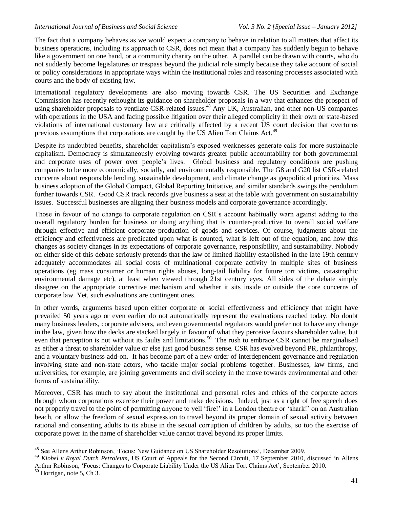The fact that a company behaves as we would expect a company to behave in relation to all matters that affect its business operations, including its approach to CSR, does not mean that a company has suddenly begun to behave like a government on one hand, or a community charity on the other. A parallel can be drawn with courts, who do not suddenly become legislatures or trespass beyond the judicial role simply because they take account of social or policy considerations in appropriate ways within the institutional roles and reasoning processes associated with courts and the body of existing law.

International regulatory developments are also moving towards CSR. The US Securities and Exchange Commission has recently rethought its guidance on shareholder proposals in a way that enhances the prospect of using shareholder proposals to ventilate CSR-related issues.<sup>48</sup> Any UK, Australian, and other non-US companies with operations in the USA and facing possible litigation over their alleged complicity in their own or state-based violations of international customary law are critically affected by a recent US court decision that overturns previous assumptions that corporations are caught by the US Alien Tort Claims Act.<sup>49</sup>

Despite its undoubted benefits, shareholder capitalism's exposed weaknesses generate calls for more sustainable capitalism. Democracy is simultaneously evolving towards greater public accountability for both governmental and corporate uses of power over people's lives. Global business and regulatory conditions are pushing companies to be more economically, socially, and environmentally responsible. The G8 and G20 list CSR-related concerns about responsible lending, sustainable development, and climate change as geopolitical priorities. Mass business adoption of the Global Compact, Global Reporting Initiative, and similar standards swings the pendulum further towards CSR. Good CSR track records give business a seat at the table with government on sustainability issues. Successful businesses are aligning their business models and corporate governance accordingly.

Those in favour of no change to corporate regulation on CSR's account habitually warn against adding to the overall regulatory burden for business or doing anything that is counter-productive to overall social welfare through effective and efficient corporate production of goods and services. Of course, judgments about the efficiency and effectiveness are predicated upon what is counted, what is left out of the equation, and how this changes as society changes in its expectations of corporate governance, responsibility, and sustainability. Nobody on either side of this debate seriously pretends that the law of limited liability established in the late 19th century adequately accommodates all social costs of multinational corporate activity in multiple sites of business operations (eg mass consumer or human rights abuses, long-tail liability for future tort victims, catastrophic environmental damage etc), at least when viewed through 21st century eyes. All sides of the debate simply disagree on the appropriate corrective mechanism and whether it sits inside or outside the core concerns of corporate law. Yet, such evaluations are contingent ones.

In other words, arguments based upon either corporate or social effectiveness and efficiency that might have prevailed 50 years ago or even earlier do not automatically represent the evaluations reached today. No doubt many business leaders, corporate advisers, and even governmental regulators would prefer not to have any change in the law, given how the decks are stacked largely in favour of what they perceive favours shareholder value, but even that perception is not without its faults and limitations.<sup>50</sup> The rush to embrace CSR cannot be marginalised as either a threat to shareholder value or else just good business sense. CSR has evolved beyond PR, philanthropy, and a voluntary business add-on. It has become part of a new order of interdependent governance and regulation involving state and non-state actors, who tackle major social problems together. Businesses, law firms, and universities, for example, are joining governments and civil society in the move towards environmental and other forms of sustainability.

Moreover, CSR has much to say about the institutional and personal roles and ethics of the corporate actors through whom corporations exercise their power and make decisions. Indeed, just as a right of free speech does not properly travel to the point of permitting anyone to yell 'fire!' in a London theatre or 'shark!' on an Australian beach, or allow the freedom of sexual expression to travel beyond its proper domain of sexual activity between rational and consenting adults to its abuse in the sexual corruption of children by adults, so too the exercise of corporate power in the name of shareholder value cannot travel beyond its proper limits.

<sup>49</sup> Kiobel v Royal Dutch Petroleum, US Court of Appeals for the Second Circuit, 17 September 2010, discussed in Allens Arthur Robinson, ‗Focus: Changes to Corporate Liability Under the US Alien Tort Claims Act', September 2010.

<sup>&</sup>lt;sup>48</sup> See Allens Arthur Robinson, 'Focus: New Guidance on US Shareholder Resolutions', December 2009.

 $50$  Horrigan, note 5, Ch 3.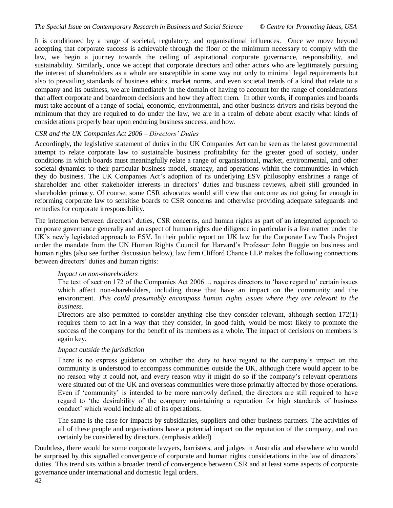It is conditioned by a range of societal, regulatory, and organisational influences. Once we move beyond accepting that corporate success is achievable through the floor of the minimum necessary to comply with the law, we begin a journey towards the ceiling of aspirational corporate governance, responsibility, and sustainability. Similarly, once we accept that corporate directors and other actors who are legitimately pursuing the interest of shareholders as a whole are susceptible in some way not only to minimal legal requirements but also to prevailing standards of business ethics, market norms, and even societal trends of a kind that relate to a company and its business, we are immediately in the domain of having to account for the range of considerations that affect corporate and boardroom decisions and how they affect them. In other words, if companies and boards must take account of a range of social, economic, environmental, and other business drivers and risks beyond the minimum that they are required to do under the law, we are in a realm of debate about exactly what kinds of considerations properly bear upon enduring business success, and how.

#### *CSR and the UK Companies Act 2006 – Directors' Duties*

Accordingly, the legislative statement of duties in the UK Companies Act can be seen as the latest governmental attempt to relate corporate law to sustainable business profitability for the greater good of society, under conditions in which boards must meaningfully relate a range of organisational, market, environmental, and other societal dynamics to their particular business model, strategy, and operations within the communities in which they do business. The UK Companies Act's adoption of its underlying ESV philosophy enshrines a range of shareholder and other stakeholder interests in directors' duties and business reviews, albeit still grounded in shareholder primacy. Of course, some CSR advocates would still view that outcome as not going far enough in reforming corporate law to sensitise boards to CSR concerns and otherwise providing adequate safeguards and remedies for corporate irresponsibility.

The interaction between directors' duties, CSR concerns, and human rights as part of an integrated approach to corporate governance generally and an aspect of human rights due diligence in particular is a live matter under the UK's newly legislated approach to ESV. In their public report on UK law for the Corporate Law Tools Project under the mandate from the UN Human Rights Council for Harvard's Professor John Ruggie on business and human rights (also see further discussion below), law firm Clifford Chance LLP makes the following connections between directors' duties and human rights:

#### *Impact on non-shareholders*

The text of section 172 of the Companies Act 2006 ... requires directors to 'have regard to' certain issues which affect non-shareholders, including those that have an impact on the community and the environment. *This could presumably encompass human rights issues where they are relevant to the business.*

Directors are also permitted to consider anything else they consider relevant, although section 172(1) requires them to act in a way that they consider, in good faith, would be most likely to promote the success of the company for the benefit of its members as a whole. The impact of decisions on members is again key.

#### *Impact outside the jurisdiction*

There is no express guidance on whether the duty to have regard to the company's impact on the community is understood to encompass communities outside the UK, although there would appear to be no reason why it could not, and every reason why it might do so if the company's relevant operations were situated out of the UK and overseas communities were those primarily affected by those operations. Even if 'community' is intended to be more narrowly defined, the directors are still required to have regard to 'the desirability of the company maintaining a reputation for high standards of business conduct' which would include all of its operations.

The same is the case for impacts by subsidiaries, suppliers and other business partners. The activities of all of these people and organisations have a potential impact on the reputation of the company, and can certainly be considered by directors. (emphasis added)

Doubtless, there would be some corporate lawyers, barristers, and judges in Australia and elsewhere who would be surprised by this signalled convergence of corporate and human rights considerations in the law of directors' duties. This trend sits within a broader trend of convergence between CSR and at least some aspects of corporate governance under international and domestic legal orders.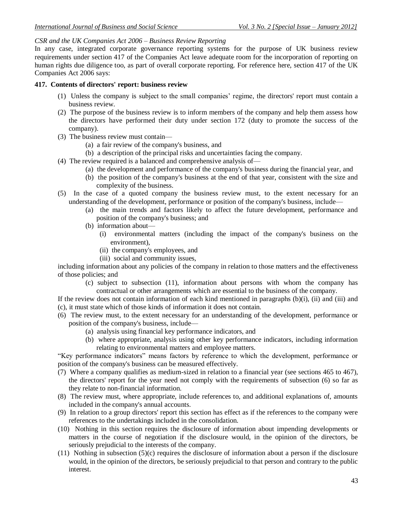#### *CSR and the UK Companies Act 2006 – Business Review Reporting*

In any case, integrated corporate governance reporting systems for the purpose of UK business review requirements under section 417 of the Companies Act leave adequate room for the incorporation of reporting on human rights due diligence too, as part of overall corporate reporting. For reference here, section 417 of the UK Companies Act 2006 says:

#### **417. Contents of directors' report: business review**

- (1) Unless the company is subject to the small companies' regime, the directors' report must contain a business review.
- (2) The purpose of the business review is to inform members of the company and help them assess how the directors have performed their duty under section 172 (duty to promote the success of the company).
- (3) The business review must contain—
	- (a) a fair review of the company's business, and
	- (b) a description of the principal risks and uncertainties facing the company.
- (4) The review required is a balanced and comprehensive analysis of—
	- (a) the development and performance of the company's business during the financial year, and
	- (b) the position of the company's business at the end of that year, consistent with the size and complexity of the business.
- (5) In the case of a quoted company the business review must, to the extent necessary for an understanding of the development, performance or position of the company's business, include—
	- (a) the main trends and factors likely to affect the future development, performance and position of the company's business; and
	- (b) information about—
		- (i) environmental matters (including the impact of the company's business on the environment),
		- (ii) the company's employees, and
		- (iii) social and community issues,

including information about any policies of the company in relation to those matters and the effectiveness of those policies; and

(c) subject to subsection (11), information about persons with whom the company has contractual or other arrangements which are essential to the business of the company.

If the review does not contain information of each kind mentioned in paragraphs (b)(i), (ii) and (iii) and (c), it must state which of those kinds of information it does not contain.

- (6) The review must, to the extent necessary for an understanding of the development, performance or position of the company's business, include—
	- (a) analysis using financial key performance indicators, and
	- (b) where appropriate, analysis using other key performance indicators, including information relating to environmental matters and employee matters.

"Key performance indicators" means factors by reference to which the development, performance or position of the company's business can be measured effectively.

- $(7)$  Where a company qualifies as medium-sized in relation to a financial year (see sections 465 to 467), the directors' report for the year need not comply with the requirements of subsection (6) so far as they relate to non-financial information.
- (8) The review must, where appropriate, include references to, and additional explanations of, amounts included in the company's annual accounts.
- (9) In relation to a group directors' report this section has effect as if the references to the company were references to the undertakings included in the consolidation.
- (10) Nothing in this section requires the disclosure of information about impending developments or matters in the course of negotiation if the disclosure would, in the opinion of the directors, be seriously prejudicial to the interests of the company.
- (11) Nothing in subsection (5)(c) requires the disclosure of information about a person if the disclosure would, in the opinion of the directors, be seriously prejudicial to that person and contrary to the public interest.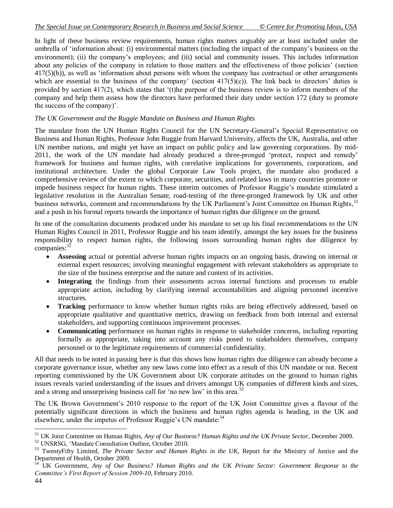In light of these business review requirements, human rights matters arguably are at least included under the umbrella of ‗information about: (i) environmental matters (including the impact of the company's business on the environment); (ii) the company's employees; and (iii) social and community issues. This includes information about any policies of the company in relation to those matters and the effectiveness of those policies' (section  $417(5)(b)$ ), as well as 'information about persons with whom the company has contractual or other arrangements which are essential to the business of the company' (section  $417(5)(c)$ ). The link back to directors' duties is provided by section 417(2), which states that ‗(t)he purpose of the business review is to inform members of the company and help them assess how the directors have performed their duty under section 172 (duty to promote the success of the company)'.

# *The UK Government and the Ruggie Mandate on Business and Human Rights*

The mandate from the UN Human Rights Council for the UN Secretary-General's Special Representative on Business and Human Rights, Professor John Ruggie from Harvard University, affects the UK, Australia, and other UN member nations, and might yet have an impact on public policy and law governing corporations. By mid-2011, the work of the UN mandate had already produced a three-pronged 'protect, respect and remedy' framework for business and human rights, with correlative implications for governments, corporations, and institutional architecture. Under the global Corporate Law Tools project, the mandate also produced a comprehensive review of the extent to which corporate, securities, and related laws in many countries promote or impede business respect for human rights. These interim outcomes of Professor Ruggie's mandate stimulated a legislative resolution in the Australian Senate, road-testing of the three-pronged framework by UK and other business networks, comment and recommendations by the UK Parliament's Joint Committee on Human Rights,<sup>51</sup> and a push in his formal reports towards the importance of human rights due diligence on the ground.

In one of the consultation documents produced under his mandate to set up his final recommendations to the UN Human Rights Council in 2011, Professor Ruggie and his team identify, amongst the key issues for the business responsibility to respect human rights, the following issues surrounding human rights due diligence by companies:<sup>52</sup>

- **Assessing** actual or potential adverse human rights impacts on an ongoing basis, drawing on internal or external expert resources; involving meaningful engagement with relevant stakeholders as appropriate to the size of the business enterprise and the nature and context of its activities.
- **Integrating** the findings from their assessments across internal functions and processes to enable appropriate action, including by clarifying internal accountabilities and aligning personnel incentive structures.
- **Tracking** performance to know whether human rights risks are being effectively addressed, based on appropriate qualitative and quantitative metrics, drawing on feedback from both internal and external stakeholders, and supporting continuous improvement processes.
- **Communicating** performance on human rights in response to stakeholder concerns, including reporting formally as appropriate, taking into account any risks posed to stakeholders themselves, company personnel or to the legitimate requirements of commercial confidentiality.

All that needs to be noted in passing here is that this shows how human rights due diligence can already become a corporate governance issue, whether any new laws come into effect as a result of this UN mandate or not. Recent reporting commissioned by the UK Government about UK corporate attitudes on the ground to human rights issues reveals varied understanding of the issues and drivers amongst UK companies of different kinds and sizes, and a strong and unsurprising business call for 'no new law' in this area.<sup>53</sup>

The UK Brown Government's 2010 response to the report of the UK Joint Committee gives a flavour of the potentially significant directions in which the business and human rights agenda is heading, in the UK and elsewhere, under the impetus of Professor Ruggie's UN mandate:<sup>54</sup>

<sup>52</sup> UNSRSG, ‗Mandate Consultation Outline, October 2010.

<sup>51</sup> UK Joint Committee on Human Rights, *Any of Our Business? Human Rights and the UK Private Sector*, December 2009.

<sup>53</sup> TwentyFifty Limited, *The Private Sector and Human Rights in the UK*, Report for the Ministry of Justice and the Department of Health, October 2009.

<sup>54</sup> UK Government, *Any of Our Business? Human Rights and the UK Private Sector: Government Response to the Committee's First Report of Session 2009-10*, February 2010.